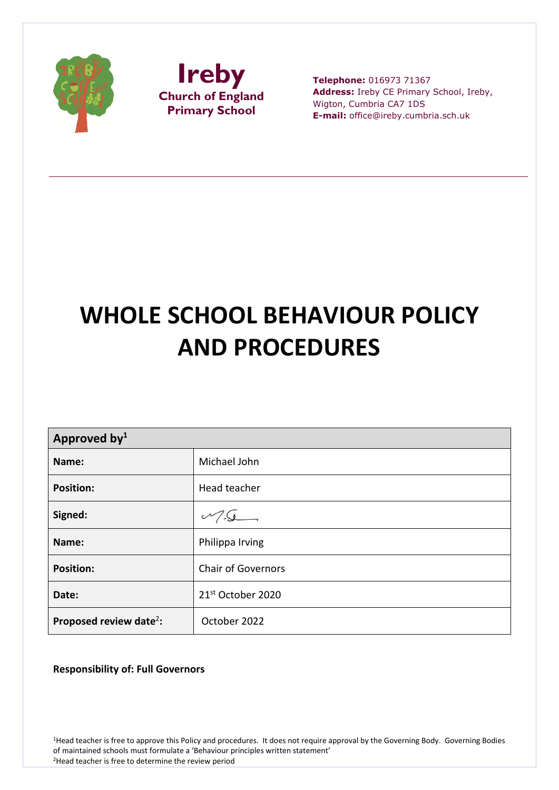



**Telephone:** 016973 71367 **Address:** Ireby CE Primary School, Ireby, Wigton, Cumbria CA7 1DS **E-mail:** office@ireby.cumbria.sch.uk

# **WHOLE SCHOOL BEHAVIOUR POLICY AND PROCEDURES**

| Approved by <sup>1</sup>            |                                 |  |
|-------------------------------------|---------------------------------|--|
| Name:                               | Michael John                    |  |
| <b>Position:</b>                    | Head teacher                    |  |
| Signed:                             | $V\left\lceil\cdot\right\rceil$ |  |
| Name:                               | Philippa Irving                 |  |
| <b>Position:</b>                    | <b>Chair of Governors</b>       |  |
| Date:                               | 21 <sup>st</sup> October 2020   |  |
| Proposed review date <sup>2</sup> : | October 2022                    |  |

**Responsibility of: Full Governors**

<sup>1</sup>Head teacher is free to approve this Policy and procedures. It does not require approval by the Governing Body. Governing Bodies of maintained schools must formulate a 'Behaviour principles written statement' 2Head teacher is free to determine the review period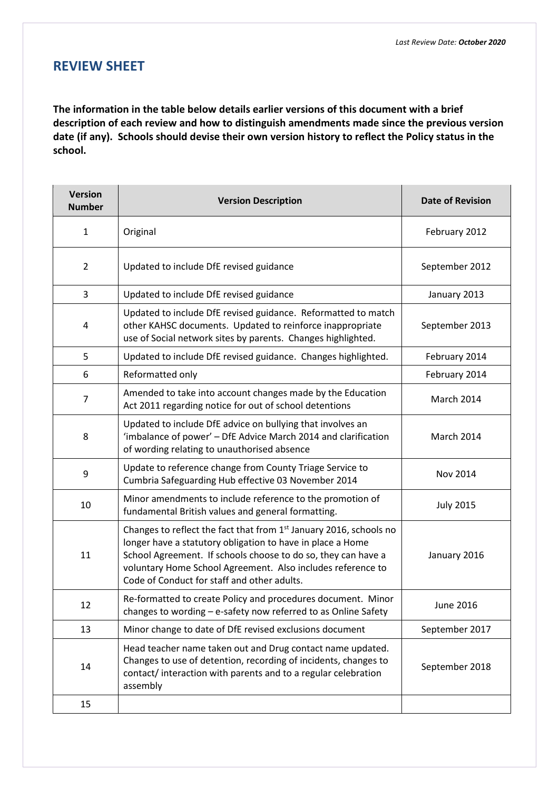# **REVIEW SHEET**

**The information in the table below details earlier versions of this document with a brief description of each review and how to distinguish amendments made since the previous version date (if any). Schools should devise their own version history to reflect the Policy status in the school.**

| <b>Version</b><br><b>Number</b> | <b>Version Description</b>                                                                                                                                                                                                                                                                                                  | <b>Date of Revision</b> |
|---------------------------------|-----------------------------------------------------------------------------------------------------------------------------------------------------------------------------------------------------------------------------------------------------------------------------------------------------------------------------|-------------------------|
| $\mathbf{1}$                    | Original                                                                                                                                                                                                                                                                                                                    | February 2012           |
| $\overline{2}$                  | Updated to include DfE revised guidance                                                                                                                                                                                                                                                                                     | September 2012          |
| 3                               | Updated to include DfE revised guidance                                                                                                                                                                                                                                                                                     | January 2013            |
| 4                               | Updated to include DfE revised guidance. Reformatted to match<br>other KAHSC documents. Updated to reinforce inappropriate<br>use of Social network sites by parents. Changes highlighted.                                                                                                                                  | September 2013          |
| 5                               | Updated to include DfE revised guidance. Changes highlighted.                                                                                                                                                                                                                                                               | February 2014           |
| 6                               | Reformatted only                                                                                                                                                                                                                                                                                                            | February 2014           |
| $\overline{7}$                  | Amended to take into account changes made by the Education<br>Act 2011 regarding notice for out of school detentions                                                                                                                                                                                                        | March 2014              |
| 8                               | Updated to include DfE advice on bullying that involves an<br>'imbalance of power' - DfE Advice March 2014 and clarification<br>of wording relating to unauthorised absence                                                                                                                                                 | March 2014              |
| 9                               | Update to reference change from County Triage Service to<br>Cumbria Safeguarding Hub effective 03 November 2014                                                                                                                                                                                                             | Nov 2014                |
| 10                              | Minor amendments to include reference to the promotion of<br>fundamental British values and general formatting.                                                                                                                                                                                                             | <b>July 2015</b>        |
| 11                              | Changes to reflect the fact that from 1 <sup>st</sup> January 2016, schools no<br>longer have a statutory obligation to have in place a Home<br>School Agreement. If schools choose to do so, they can have a<br>voluntary Home School Agreement. Also includes reference to<br>Code of Conduct for staff and other adults. | January 2016            |
| 12                              | Re-formatted to create Policy and procedures document. Minor<br>changes to wording – e-safety now referred to as Online Safety                                                                                                                                                                                              | June 2016               |
| 13                              | Minor change to date of DfE revised exclusions document                                                                                                                                                                                                                                                                     | September 2017          |
| 14                              | Head teacher name taken out and Drug contact name updated.<br>Changes to use of detention, recording of incidents, changes to<br>contact/interaction with parents and to a regular celebration<br>assembly                                                                                                                  | September 2018          |
| 15                              |                                                                                                                                                                                                                                                                                                                             |                         |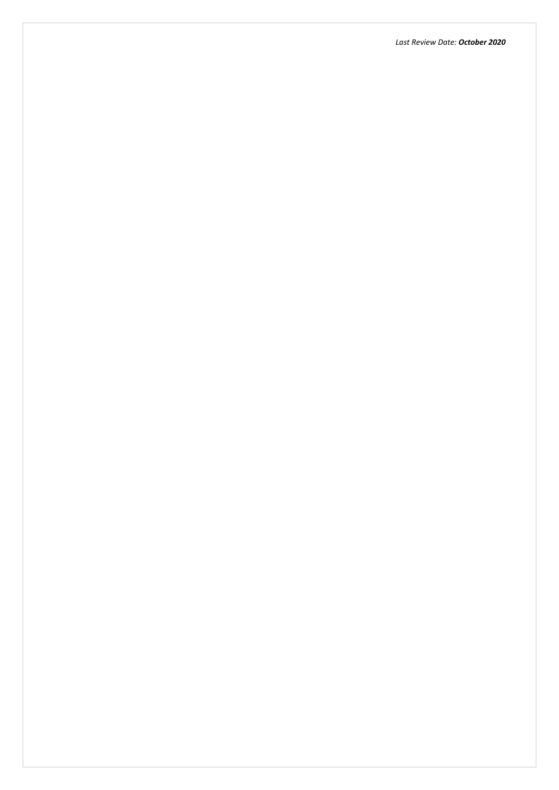*Last Review Date: October 2020*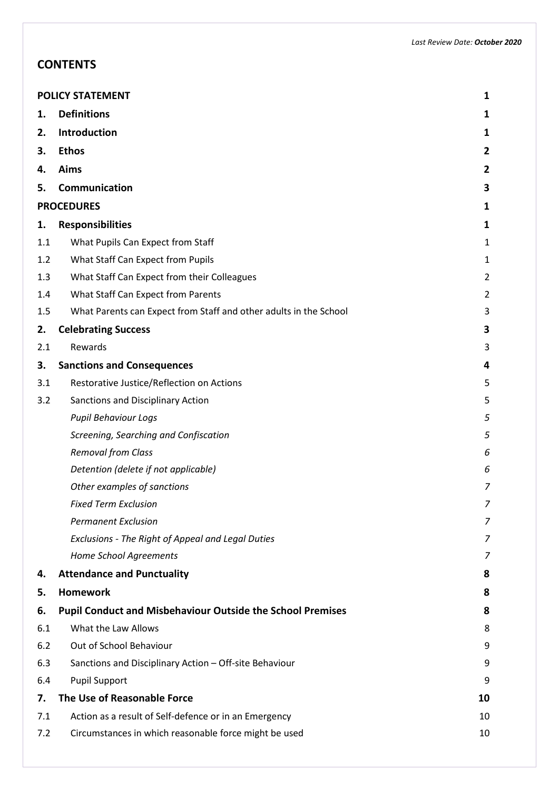# **CONTENTS**

|     | <b>POLICY STATEMENT</b><br>1                                      |                |
|-----|-------------------------------------------------------------------|----------------|
| 1.  | <b>Definitions</b>                                                | 1              |
| 2.  | Introduction                                                      | 1              |
| 3.  | <b>Ethos</b>                                                      | $\overline{2}$ |
| 4.  | Aims                                                              | $\overline{2}$ |
| 5.  | Communication                                                     | 3              |
|     | <b>PROCEDURES</b>                                                 | 1              |
| 1.  | <b>Responsibilities</b>                                           | 1              |
| 1.1 | What Pupils Can Expect from Staff                                 | 1              |
| 1.2 | What Staff Can Expect from Pupils                                 | $\mathbf{1}$   |
| 1.3 | What Staff Can Expect from their Colleagues                       | $\overline{2}$ |
| 1.4 | What Staff Can Expect from Parents                                | $\overline{2}$ |
| 1.5 | What Parents can Expect from Staff and other adults in the School | 3              |
| 2.  | <b>Celebrating Success</b>                                        | 3              |
| 2.1 | Rewards                                                           | 3              |
| 3.  | <b>Sanctions and Consequences</b>                                 | 4              |
| 3.1 | Restorative Justice/Reflection on Actions                         | 5              |
| 3.2 | Sanctions and Disciplinary Action                                 | 5              |
|     | <b>Pupil Behaviour Logs</b>                                       | 5              |
|     | Screening, Searching and Confiscation                             | 5              |
|     | <b>Removal from Class</b>                                         | 6              |
|     | Detention (delete if not applicable)                              | 6              |
|     | Other examples of sanctions                                       | $\overline{7}$ |
|     | <b>Fixed Term Exclusion</b>                                       | 7              |
|     | <b>Permanent Exclusion</b>                                        | 7              |
|     | Exclusions - The Right of Appeal and Legal Duties                 | 7              |
|     | Home School Agreements                                            | 7              |
| 4.  | <b>Attendance and Punctuality</b>                                 | 8              |
| 5.  | <b>Homework</b>                                                   | 8              |
| 6.  | <b>Pupil Conduct and Misbehaviour Outside the School Premises</b> | 8              |
| 6.1 | What the Law Allows                                               | 8              |
| 6.2 | Out of School Behaviour                                           | 9              |
| 6.3 | Sanctions and Disciplinary Action - Off-site Behaviour            | 9              |
| 6.4 | <b>Pupil Support</b>                                              | 9              |
| 7.  | The Use of Reasonable Force                                       | 10             |
| 7.1 | Action as a result of Self-defence or in an Emergency             | 10             |
| 7.2 | Circumstances in which reasonable force might be used             | 10             |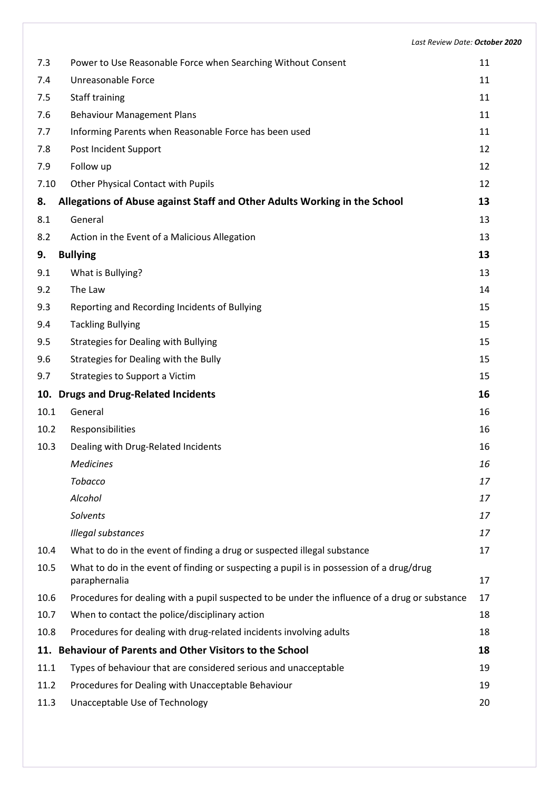| 7.3  | Power to Use Reasonable Force when Searching Without Consent                                              | 11 |
|------|-----------------------------------------------------------------------------------------------------------|----|
| 7.4  | Unreasonable Force                                                                                        | 11 |
| 7.5  | Staff training                                                                                            | 11 |
| 7.6  | <b>Behaviour Management Plans</b>                                                                         | 11 |
| 7.7  | Informing Parents when Reasonable Force has been used                                                     | 11 |
| 7.8  | Post Incident Support                                                                                     | 12 |
| 7.9  | Follow up                                                                                                 | 12 |
| 7.10 | Other Physical Contact with Pupils                                                                        | 12 |
| 8.   | Allegations of Abuse against Staff and Other Adults Working in the School                                 | 13 |
| 8.1  | General                                                                                                   | 13 |
| 8.2  | Action in the Event of a Malicious Allegation                                                             | 13 |
| 9.   | <b>Bullying</b>                                                                                           | 13 |
| 9.1  | What is Bullying?                                                                                         | 13 |
| 9.2  | The Law                                                                                                   | 14 |
| 9.3  | Reporting and Recording Incidents of Bullying                                                             | 15 |
| 9.4  | <b>Tackling Bullying</b>                                                                                  | 15 |
| 9.5  | <b>Strategies for Dealing with Bullying</b>                                                               | 15 |
| 9.6  | Strategies for Dealing with the Bully                                                                     | 15 |
| 9.7  | Strategies to Support a Victim                                                                            | 15 |
|      | 10. Drugs and Drug-Related Incidents                                                                      | 16 |
| 10.1 | General                                                                                                   | 16 |
| 10.2 | Responsibilities                                                                                          | 16 |
| 10.3 | Dealing with Drug-Related Incidents                                                                       | 16 |
|      | <b>Medicines</b>                                                                                          | 16 |
|      | Tobacco                                                                                                   | 17 |
|      | Alcohol                                                                                                   | 17 |
|      | <b>Solvents</b>                                                                                           | 17 |
|      | Illegal substances                                                                                        | 17 |
| 10.4 | What to do in the event of finding a drug or suspected illegal substance                                  | 17 |
| 10.5 | What to do in the event of finding or suspecting a pupil is in possession of a drug/drug<br>paraphernalia | 17 |
| 10.6 | Procedures for dealing with a pupil suspected to be under the influence of a drug or substance            | 17 |
| 10.7 | When to contact the police/disciplinary action                                                            | 18 |
| 10.8 | Procedures for dealing with drug-related incidents involving adults                                       | 18 |
|      | 11. Behaviour of Parents and Other Visitors to the School                                                 | 18 |
| 11.1 | Types of behaviour that are considered serious and unacceptable                                           | 19 |
| 11.2 | Procedures for Dealing with Unacceptable Behaviour                                                        | 19 |
| 11.3 | Unacceptable Use of Technology                                                                            | 20 |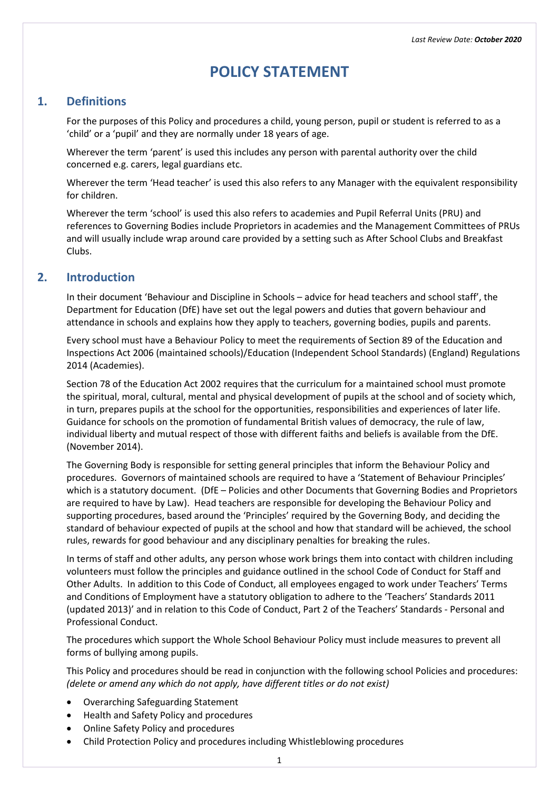# **POLICY STATEMENT**

# <span id="page-5-1"></span><span id="page-5-0"></span>**1. Definitions**

For the purposes of this Policy and procedures a child, young person, pupil or student is referred to as a 'child' or a 'pupil' and they are normally under 18 years of age.

Wherever the term 'parent' is used this includes any person with parental authority over the child concerned e.g. carers, legal guardians etc.

Wherever the term 'Head teacher' is used this also refers to any Manager with the equivalent responsibility for children.

Wherever the term 'school' is used this also refers to academies and Pupil Referral Units (PRU) and references to Governing Bodies include Proprietors in academies and the Management Committees of PRUs and will usually include wrap around care provided by a setting such as After School Clubs and Breakfast Clubs.

# <span id="page-5-2"></span>**2. Introduction**

In their document 'Behaviour and Discipline in Schools – advice for head teachers and school staff', the Department for Education (DfE) have set out the legal powers and duties that govern behaviour and attendance in schools and explains how they apply to teachers, governing bodies, pupils and parents.

Every school must have a Behaviour Policy to meet the requirements of Section 89 of the Education and Inspections Act 2006 (maintained schools)/Education (Independent School Standards) (England) Regulations 2014 (Academies).

Section 78 of the Education Act 2002 requires that the curriculum for a maintained school must promote the spiritual, moral, cultural, mental and physical development of pupils at the school and of society which, in turn, prepares pupils at the school for the opportunities, responsibilities and experiences of later life. Guidance for schools on the promotion of fundamental British values of democracy, the rule of law, individual liberty and mutual respect of those with different faiths and beliefs is available from the DfE. (November 2014).

The Governing Body is responsible for setting general principles that inform the Behaviour Policy and procedures. Governors of maintained schools are required to have a 'Statement of Behaviour Principles' which is a statutory document. (DfE – Policies and other Documents that Governing Bodies and Proprietors are required to have by Law). Head teachers are responsible for developing the Behaviour Policy and supporting procedures, based around the 'Principles' required by the Governing Body, and deciding the standard of behaviour expected of pupils at the school and how that standard will be achieved, the school rules, rewards for good behaviour and any disciplinary penalties for breaking the rules.

In terms of staff and other adults, any person whose work brings them into contact with children including volunteers must follow the principles and guidance outlined in the school Code of Conduct for Staff and Other Adults. In addition to this Code of Conduct, all employees engaged to work under Teachers' Terms and Conditions of Employment have a statutory obligation to adhere to the 'Teachers' Standards 2011 (updated 2013)' and in relation to this Code of Conduct, Part 2 of the Teachers' Standards - Personal and Professional Conduct.

The procedures which support the Whole School Behaviour Policy must include measures to prevent all forms of bullying among pupils.

This Policy and procedures should be read in conjunction with the following school Policies and procedures: *(delete or amend any which do not apply, have different titles or do not exist)*

- Overarching Safeguarding Statement
- Health and Safety Policy and procedures
- Online Safety Policy and procedures
- Child Protection Policy and procedures including Whistleblowing procedures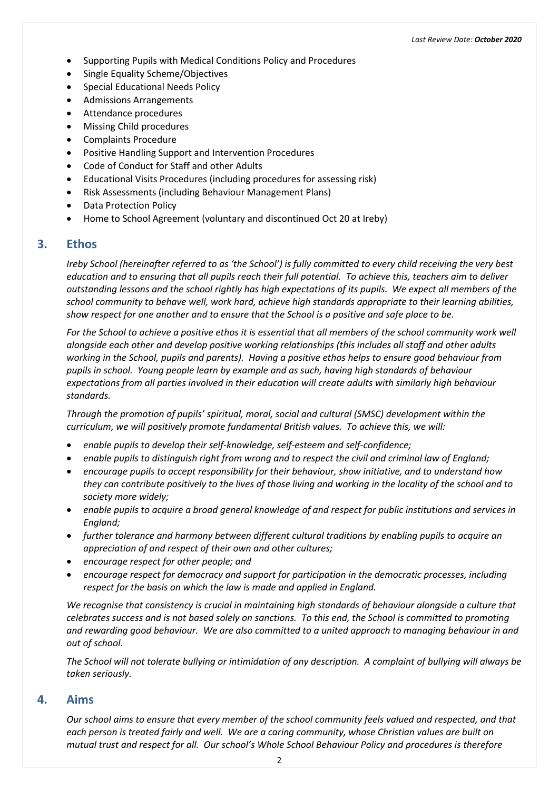- Supporting Pupils with Medical Conditions Policy and Procedures
- Single Equality Scheme/Objectives
- Special Educational Needs Policy
- Admissions Arrangements
- Attendance procedures
- Missing Child procedures
- Complaints Procedure
- Positive Handling Support and Intervention Procedures
- Code of Conduct for Staff and other Adults
- Educational Visits Procedures (including procedures for assessing risk)
- Risk Assessments (including Behaviour Management Plans)
- Data Protection Policy
- Home to School Agreement (voluntary and discontinued Oct 20 at Ireby)

# <span id="page-6-0"></span>**3. Ethos**

*Ireby School (hereinafter referred to as 'the School') is fully committed to every child receiving the very best education and to ensuring that all pupils reach their full potential. To achieve this, teachers aim to deliver outstanding lessons and the school rightly has high expectations of its pupils. We expect all members of the school community to behave well, work hard, achieve high standards appropriate to their learning abilities, show respect for one another and to ensure that the School is a positive and safe place to be.*

*For the School to achieve a positive ethos it is essential that all members of the school community work well alongside each other and develop positive working relationships (this includes all staff and other adults working in the School, pupils and parents). Having a positive ethos helps to ensure good behaviour from pupils in school. Young people learn by example and as such, having high standards of behaviour expectations from all parties involved in their education will create adults with similarly high behaviour standards.*

*Through the promotion of pupils' spiritual, moral, social and cultural (SMSC) development within the curriculum, we will positively promote fundamental British values. To achieve this, we will:*

- *enable pupils to develop their self-knowledge, self-esteem and self-confidence;*
- *enable pupils to distinguish right from wrong and to respect the civil and criminal law of England;*
- *encourage pupils to accept responsibility for their behaviour, show initiative, and to understand how they can contribute positively to the lives of those living and working in the locality of the school and to society more widely;*
- *enable pupils to acquire a broad general knowledge of and respect for public institutions and services in England;*
- *further tolerance and harmony between different cultural traditions by enabling pupils to acquire an appreciation of and respect of their own and other cultures;*
- *encourage respect for other people; and*
- *encourage respect for democracy and support for participation in the democratic processes, including respect for the basis on which the law is made and applied in England.*

We recognise that consistency is crucial in maintaining high standards of behaviour alongside a culture that *celebrates success and is not based solely on sanctions. To this end, the School is committed to promoting and rewarding good behaviour. We are also committed to a united approach to managing behaviour in and out of school.*

*The School will not tolerate bullying or intimidation of any description. A complaint of bullying will always be taken seriously.*

#### <span id="page-6-1"></span>**4. Aims**

*Our school aims to ensure that every member of the school community feels valued and respected, and that each person is treated fairly and well. We are a caring community, whose Christian values are built on mutual trust and respect for all. Our school's Whole School Behaviour Policy and procedures is therefore*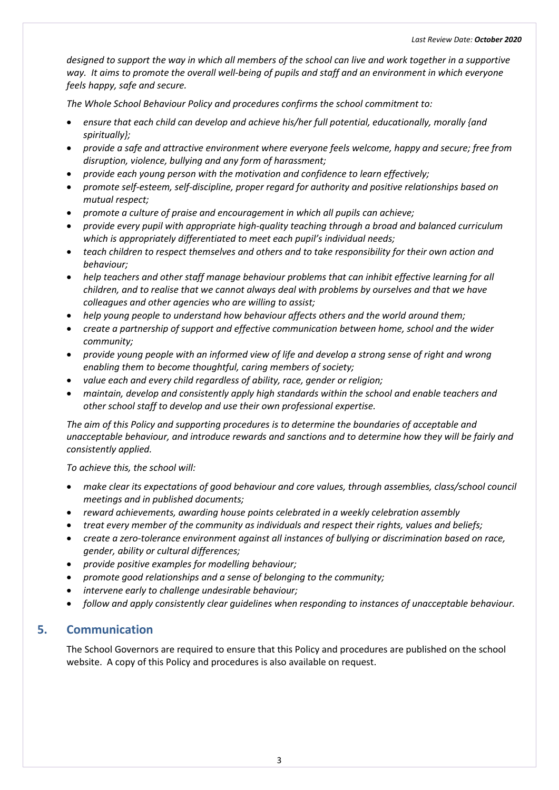*designed to support the way in which all members of the school can live and work together in a supportive way. It aims to promote the overall well-being of pupils and staff and an environment in which everyone feels happy, safe and secure.*

*The Whole School Behaviour Policy and procedures confirms the school commitment to:*

- *ensure that each child can develop and achieve his/her full potential, educationally, morally {and spiritually};*
- *provide a safe and attractive environment where everyone feels welcome, happy and secure; free from disruption, violence, bullying and any form of harassment;*
- *provide each young person with the motivation and confidence to learn effectively;*
- *promote self-esteem, self-discipline, proper regard for authority and positive relationships based on mutual respect;*
- *promote a culture of praise and encouragement in which all pupils can achieve;*
- *provide every pupil with appropriate high-quality teaching through a broad and balanced curriculum which is appropriately differentiated to meet each pupil's individual needs;*
- *teach children to respect themselves and others and to take responsibility for their own action and behaviour;*
- *help teachers and other staff manage behaviour problems that can inhibit effective learning for all children, and to realise that we cannot always deal with problems by ourselves and that we have colleagues and other agencies who are willing to assist;*
- *help young people to understand how behaviour affects others and the world around them;*
- *create a partnership of support and effective communication between home, school and the wider community;*
- *provide young people with an informed view of life and develop a strong sense of right and wrong enabling them to become thoughtful, caring members of society;*
- *value each and every child regardless of ability, race, gender or religion;*
- *maintain, develop and consistently apply high standards within the school and enable teachers and other school staff to develop and use their own professional expertise.*

*The aim of this Policy and supporting procedures is to determine the boundaries of acceptable and unacceptable behaviour, and introduce rewards and sanctions and to determine how they will be fairly and consistently applied.*

*To achieve this, the school will:*

- *make clear its expectations of good behaviour and core values, through assemblies, class/school council meetings and in published documents;*
- *reward achievements, awarding house points celebrated in a weekly celebration assembly*
- *treat every member of the community as individuals and respect their rights, values and beliefs;*
- *create a zero-tolerance environment against all instances of bullying or discrimination based on race, gender, ability or cultural differences;*
- *provide positive examples for modelling behaviour;*
- *promote good relationships and a sense of belonging to the community;*
- *intervene early to challenge undesirable behaviour;*
- *follow and apply consistently clear guidelines when responding to instances of unacceptable behaviour.*

#### <span id="page-7-0"></span>**5. Communication**

The School Governors are required to ensure that this Policy and procedures are published on the school website. A copy of this Policy and procedures is also available on request.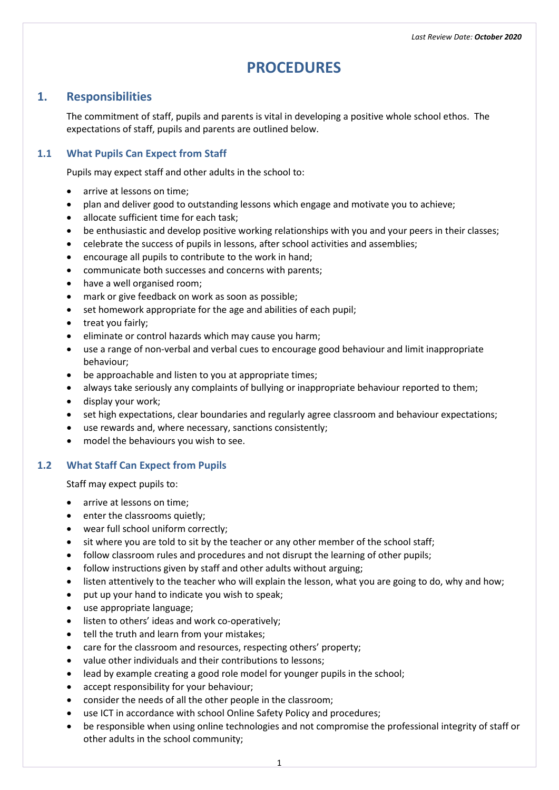# **PROCEDURES**

# <span id="page-8-1"></span><span id="page-8-0"></span>**1. Responsibilities**

The commitment of staff, pupils and parents is vital in developing a positive whole school ethos. The expectations of staff, pupils and parents are outlined below.

#### <span id="page-8-2"></span>**1.1 What Pupils Can Expect from Staff**

Pupils may expect staff and other adults in the school to:

- arrive at lessons on time:
- plan and deliver good to outstanding lessons which engage and motivate you to achieve;
- allocate sufficient time for each task;
- be enthusiastic and develop positive working relationships with you and your peers in their classes;
- celebrate the success of pupils in lessons, after school activities and assemblies;
- encourage all pupils to contribute to the work in hand;
- communicate both successes and concerns with parents;
- have a well organised room;
- mark or give feedback on work as soon as possible;
- set homework appropriate for the age and abilities of each pupil;
- treat you fairly;
- eliminate or control hazards which may cause you harm;
- use a range of non-verbal and verbal cues to encourage good behaviour and limit inappropriate behaviour;
- be approachable and listen to you at appropriate times;
- always take seriously any complaints of bullying or inappropriate behaviour reported to them;
- display your work;
- set high expectations, clear boundaries and regularly agree classroom and behaviour expectations;
- use rewards and, where necessary, sanctions consistently;
- model the behaviours you wish to see.

#### <span id="page-8-3"></span>**1.2 What Staff Can Expect from Pupils**

Staff may expect pupils to:

- arrive at lessons on time;
- enter the classrooms quietly;
- wear full school uniform correctly;
- sit where you are told to sit by the teacher or any other member of the school staff;
- follow classroom rules and procedures and not disrupt the learning of other pupils;
- follow instructions given by staff and other adults without arguing;
- listen attentively to the teacher who will explain the lesson, what you are going to do, why and how;
- put up your hand to indicate you wish to speak;
- use appropriate language;
- listen to others' ideas and work co-operatively;
- tell the truth and learn from your mistakes;
- care for the classroom and resources, respecting others' property;
- value other individuals and their contributions to lessons;
- lead by example creating a good role model for younger pupils in the school;
- accept responsibility for your behaviour;
- consider the needs of all the other people in the classroom;
- use ICT in accordance with school Online Safety Policy and procedures;
- be responsible when using online technologies and not compromise the professional integrity of staff or other adults in the school community;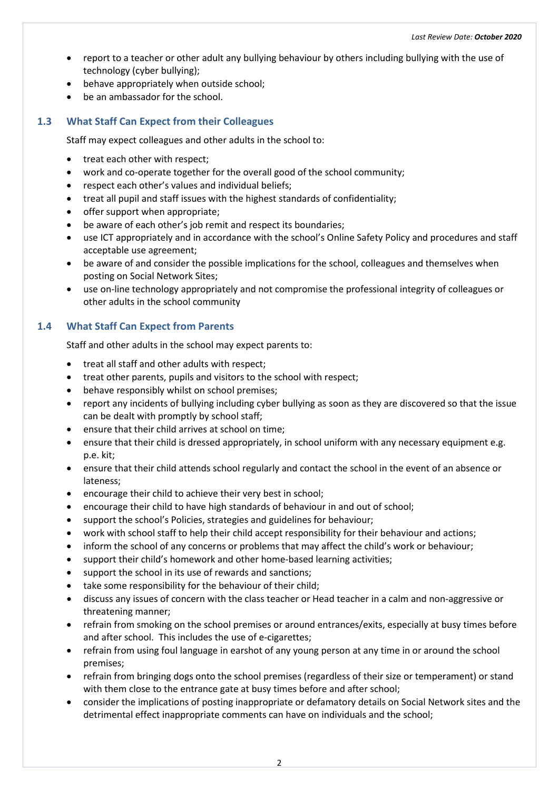- report to a teacher or other adult any bullying behaviour by others including bullying with the use of technology (cyber bullying);
- behave appropriately when outside school;
- be an ambassador for the school.

# <span id="page-9-0"></span>**1.3 What Staff Can Expect from their Colleagues**

Staff may expect colleagues and other adults in the school to:

- treat each other with respect;
- work and co-operate together for the overall good of the school community;
- respect each other's values and individual beliefs;
- treat all pupil and staff issues with the highest standards of confidentiality;
- offer support when appropriate;
- be aware of each other's job remit and respect its boundaries;
- use ICT appropriately and in accordance with the school's Online Safety Policy and procedures and staff acceptable use agreement;
- be aware of and consider the possible implications for the school, colleagues and themselves when posting on Social Network Sites;
- use on-line technology appropriately and not compromise the professional integrity of colleagues or other adults in the school community

# <span id="page-9-1"></span>**1.4 What Staff Can Expect from Parents**

Staff and other adults in the school may expect parents to:

- treat all staff and other adults with respect;
- treat other parents, pupils and visitors to the school with respect;
- behave responsibly whilst on school premises;
- report any incidents of bullying including cyber bullying as soon as they are discovered so that the issue can be dealt with promptly by school staff;
- ensure that their child arrives at school on time;
- ensure that their child is dressed appropriately, in school uniform with any necessary equipment e.g. p.e. kit;
- ensure that their child attends school regularly and contact the school in the event of an absence or lateness;
- encourage their child to achieve their very best in school;
- encourage their child to have high standards of behaviour in and out of school;
- support the school's Policies, strategies and guidelines for behaviour;
- work with school staff to help their child accept responsibility for their behaviour and actions;
- inform the school of any concerns or problems that may affect the child's work or behaviour;
- support their child's homework and other home-based learning activities;
- support the school in its use of rewards and sanctions;
- take some responsibility for the behaviour of their child;
- discuss any issues of concern with the class teacher or Head teacher in a calm and non-aggressive or threatening manner;
- refrain from smoking on the school premises or around entrances/exits, especially at busy times before and after school. This includes the use of e-cigarettes;
- refrain from using foul language in earshot of any young person at any time in or around the school premises;
- refrain from bringing dogs onto the school premises (regardless of their size or temperament) or stand with them close to the entrance gate at busy times before and after school;
- consider the implications of posting inappropriate or defamatory details on Social Network sites and the detrimental effect inappropriate comments can have on individuals and the school;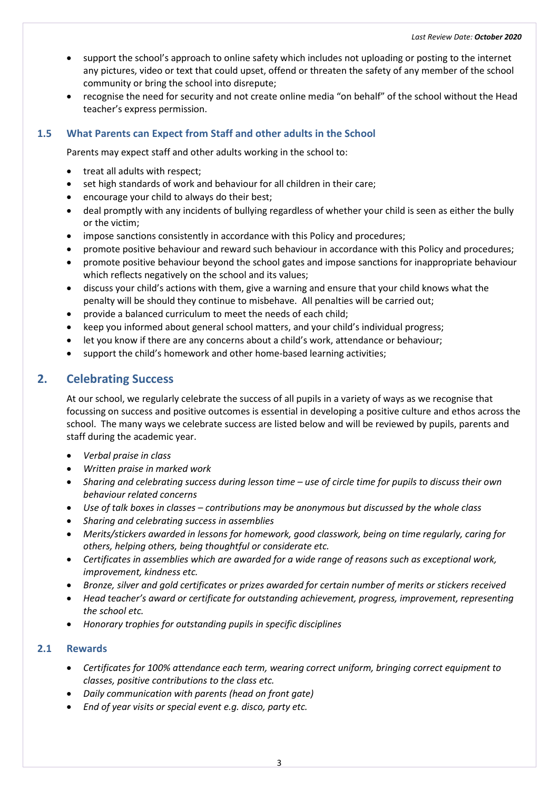- support the school's approach to online safety which includes not uploading or posting to the internet any pictures, video or text that could upset, offend or threaten the safety of any member of the school community or bring the school into disrepute;
- recognise the need for security and not create online media "on behalf" of the school without the Head teacher's express permission.

# <span id="page-10-0"></span>**1.5 What Parents can Expect from Staff and other adults in the School**

Parents may expect staff and other adults working in the school to:

- treat all adults with respect;
- set high standards of work and behaviour for all children in their care;
- encourage your child to always do their best;
- deal promptly with any incidents of bullying regardless of whether your child is seen as either the bully or the victim;
- impose sanctions consistently in accordance with this Policy and procedures;
- promote positive behaviour and reward such behaviour in accordance with this Policy and procedures;
- promote positive behaviour beyond the school gates and impose sanctions for inappropriate behaviour which reflects negatively on the school and its values;
- discuss your child's actions with them, give a warning and ensure that your child knows what the penalty will be should they continue to misbehave. All penalties will be carried out;
- provide a balanced curriculum to meet the needs of each child;
- keep you informed about general school matters, and your child's individual progress;
- let you know if there are any concerns about a child's work, attendance or behaviour;
- support the child's homework and other home-based learning activities;

# <span id="page-10-1"></span>**2. Celebrating Success**

At our school, we regularly celebrate the success of all pupils in a variety of ways as we recognise that focussing on success and positive outcomes is essential in developing a positive culture and ethos across the school. The many ways we celebrate success are listed below and will be reviewed by pupils, parents and staff during the academic year.

- *Verbal praise in class*
- *Written praise in marked work*
- *Sharing and celebrating success during lesson time – use of circle time for pupils to discuss their own behaviour related concerns*
- *Use of talk boxes in classes – contributions may be anonymous but discussed by the whole class*
- *Sharing and celebrating success in assemblies*
- *Merits/stickers awarded in lessons for homework, good classwork, being on time regularly, caring for others, helping others, being thoughtful or considerate etc.*
- *Certificates in assemblies which are awarded for a wide range of reasons such as exceptional work, improvement, kindness etc.*
- *Bronze, silver and gold certificates or prizes awarded for certain number of merits or stickers received*
- *Head teacher's award or certificate for outstanding achievement, progress, improvement, representing the school etc.*
- *Honorary trophies for outstanding pupils in specific disciplines*

#### <span id="page-10-2"></span>**2.1 Rewards**

- *Certificates for 100% attendance each term, wearing correct uniform, bringing correct equipment to classes, positive contributions to the class etc.*
- *Daily communication with parents (head on front gate)*
- *End of year visits or special event e.g. disco, party etc.*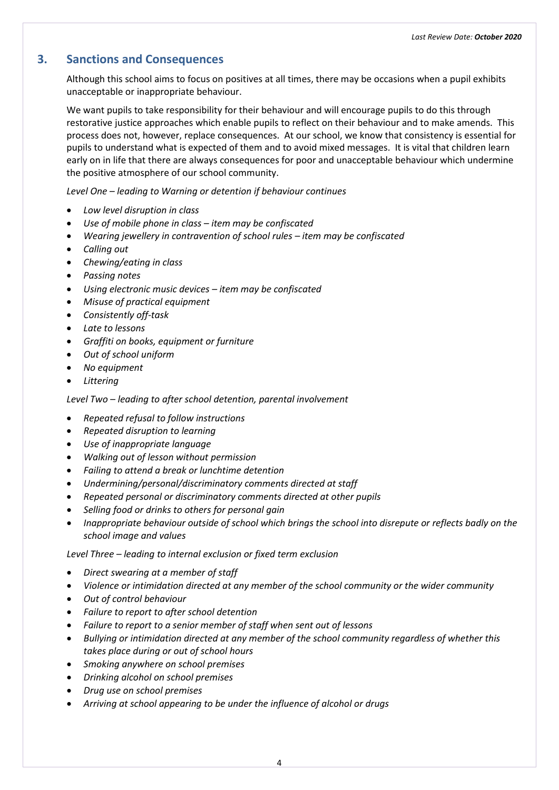# <span id="page-11-0"></span>**3. Sanctions and Consequences**

Although this school aims to focus on positives at all times, there may be occasions when a pupil exhibits unacceptable or inappropriate behaviour.

We want pupils to take responsibility for their behaviour and will encourage pupils to do this through restorative justice approaches which enable pupils to reflect on their behaviour and to make amends. This process does not, however, replace consequences. At our school, we know that consistency is essential for pupils to understand what is expected of them and to avoid mixed messages. It is vital that children learn early on in life that there are always consequences for poor and unacceptable behaviour which undermine the positive atmosphere of our school community.

*Level One – leading to Warning or detention if behaviour continues*

- *Low level disruption in class*
- *Use of mobile phone in class – item may be confiscated*
- *Wearing jewellery in contravention of school rules – item may be confiscated*
- *Calling out*
- *Chewing/eating in class*
- *Passing notes*
- *Using electronic music devices – item may be confiscated*
- *Misuse of practical equipment*
- *Consistently off-task*
- *Late to lessons*
- *Graffiti on books, equipment or furniture*
- *Out of school uniform*
- *No equipment*
- *Littering*

*Level Two – leading to after school detention, parental involvement*

- *Repeated refusal to follow instructions*
- *Repeated disruption to learning*
- *Use of inappropriate language*
- *Walking out of lesson without permission*
- *Failing to attend a break or lunchtime detention*
- *Undermining/personal/discriminatory comments directed at staff*
- *Repeated personal or discriminatory comments directed at other pupils*
- *Selling food or drinks to others for personal gain*
- *Inappropriate behaviour outside of school which brings the school into disrepute or reflects badly on the school image and values*

*Level Three – leading to internal exclusion or fixed term exclusion*

- *Direct swearing at a member of staff*
- *Violence or intimidation directed at any member of the school community or the wider community*
- *Out of control behaviour*
- *Failure to report to after school detention*
- *Failure to report to a senior member of staff when sent out of lessons*
- *Bullying or intimidation directed at any member of the school community regardless of whether this takes place during or out of school hours*
- *Smoking anywhere on school premises*
- *Drinking alcohol on school premises*
- *Drug use on school premises*
- *Arriving at school appearing to be under the influence of alcohol or drugs*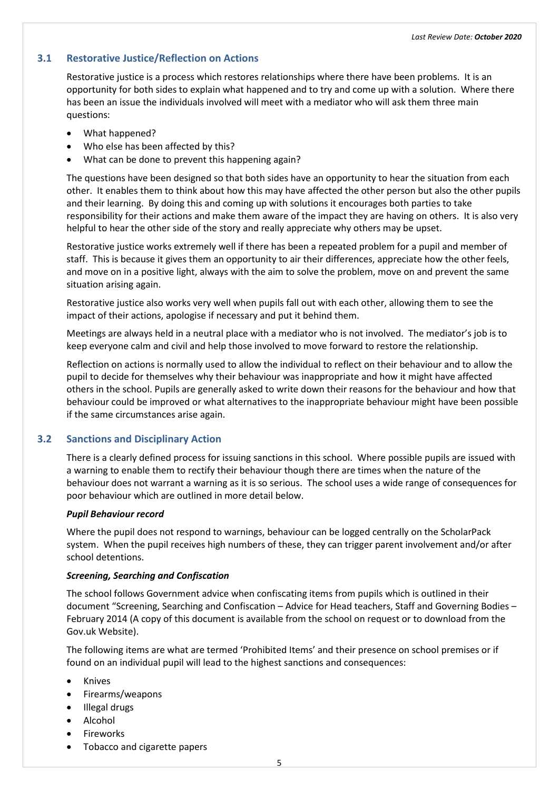#### <span id="page-12-0"></span>**3.1 Restorative Justice/Reflection on Actions**

Restorative justice is a process which restores relationships where there have been problems. It is an opportunity for both sides to explain what happened and to try and come up with a solution. Where there has been an issue the individuals involved will meet with a mediator who will ask them three main questions:

- What happened?
- Who else has been affected by this?
- What can be done to prevent this happening again?

The questions have been designed so that both sides have an opportunity to hear the situation from each other. It enables them to think about how this may have affected the other person but also the other pupils and their learning. By doing this and coming up with solutions it encourages both parties to take responsibility for their actions and make them aware of the impact they are having on others. It is also very helpful to hear the other side of the story and really appreciate why others may be upset.

Restorative justice works extremely well if there has been a repeated problem for a pupil and member of staff. This is because it gives them an opportunity to air their differences, appreciate how the other feels, and move on in a positive light, always with the aim to solve the problem, move on and prevent the same situation arising again.

Restorative justice also works very well when pupils fall out with each other, allowing them to see the impact of their actions, apologise if necessary and put it behind them.

Meetings are always held in a neutral place with a mediator who is not involved. The mediator's job is to keep everyone calm and civil and help those involved to move forward to restore the relationship.

Reflection on actions is normally used to allow the individual to reflect on their behaviour and to allow the pupil to decide for themselves why their behaviour was inappropriate and how it might have affected others in the school. Pupils are generally asked to write down their reasons for the behaviour and how that behaviour could be improved or what alternatives to the inappropriate behaviour might have been possible if the same circumstances arise again.

#### <span id="page-12-1"></span>**3.2 Sanctions and Disciplinary Action**

There is a clearly defined process for issuing sanctions in this school. Where possible pupils are issued with a warning to enable them to rectify their behaviour though there are times when the nature of the behaviour does not warrant a warning as it is so serious. The school uses a wide range of consequences for poor behaviour which are outlined in more detail below.

#### <span id="page-12-2"></span>*Pupil Behaviour record*

Where the pupil does not respond to warnings, behaviour can be logged centrally on the ScholarPack system. When the pupil receives high numbers of these, they can trigger parent involvement and/or after school detentions.

#### <span id="page-12-3"></span>*Screening, Searching and Confiscation*

The school follows Government advice when confiscating items from pupils which is outlined in their document "Screening, Searching and Confiscation – Advice for Head teachers, Staff and Governing Bodies – February 2014 (A copy of this document is available from the school on request or to download from the Gov.uk Website).

The following items are what are termed 'Prohibited Items' and their presence on school premises or if found on an individual pupil will lead to the highest sanctions and consequences:

- Knives
- Firearms/weapons
- Illegal drugs
- Alcohol
- Fireworks
- Tobacco and cigarette papers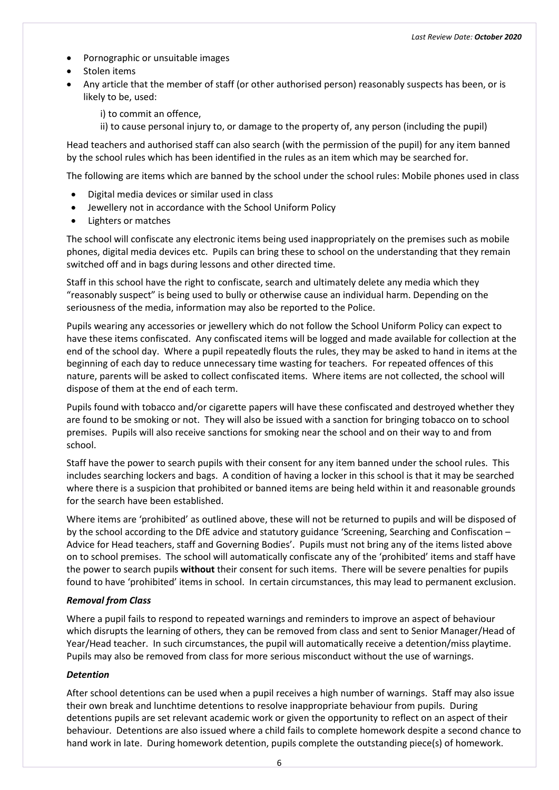- Pornographic or unsuitable images
- Stolen items
- Any article that the member of staff (or other authorised person) reasonably suspects has been, or is likely to be, used:

i) to commit an offence,

ii) to cause personal injury to, or damage to the property of, any person (including the pupil)

Head teachers and authorised staff can also search (with the permission of the pupil) for any item banned by the school rules which has been identified in the rules as an item which may be searched for.

The following are items which are banned by the school under the school rules: Mobile phones used in class

- Digital media devices or similar used in class
- Jewellery not in accordance with the School Uniform Policy
- Lighters or matches

The school will confiscate any electronic items being used inappropriately on the premises such as mobile phones, digital media devices etc. Pupils can bring these to school on the understanding that they remain switched off and in bags during lessons and other directed time.

Staff in this school have the right to confiscate, search and ultimately delete any media which they "reasonably suspect" is being used to bully or otherwise cause an individual harm. Depending on the seriousness of the media, information may also be reported to the Police.

Pupils wearing any accessories or jewellery which do not follow the School Uniform Policy can expect to have these items confiscated. Any confiscated items will be logged and made available for collection at the end of the school day. Where a pupil repeatedly flouts the rules, they may be asked to hand in items at the beginning of each day to reduce unnecessary time wasting for teachers. For repeated offences of this nature, parents will be asked to collect confiscated items. Where items are not collected, the school will dispose of them at the end of each term.

Pupils found with tobacco and/or cigarette papers will have these confiscated and destroyed whether they are found to be smoking or not. They will also be issued with a sanction for bringing tobacco on to school premises. Pupils will also receive sanctions for smoking near the school and on their way to and from school.

Staff have the power to search pupils with their consent for any item banned under the school rules. This includes searching lockers and bags. A condition of having a locker in this school is that it may be searched where there is a suspicion that prohibited or banned items are being held within it and reasonable grounds for the search have been established.

Where items are 'prohibited' as outlined above, these will not be returned to pupils and will be disposed of by the school according to the DfE advice and statutory guidance 'Screening, Searching and Confiscation – Advice for Head teachers, staff and Governing Bodies'. Pupils must not bring any of the items listed above on to school premises. The school will automatically confiscate any of the 'prohibited' items and staff have the power to search pupils **without** their consent for such items. There will be severe penalties for pupils found to have 'prohibited' items in school. In certain circumstances, this may lead to permanent exclusion.

#### <span id="page-13-0"></span>*Removal from Class*

Where a pupil fails to respond to repeated warnings and reminders to improve an aspect of behaviour which disrupts the learning of others, they can be removed from class and sent to Senior Manager/Head of Year/Head teacher. In such circumstances, the pupil will automatically receive a detention/miss playtime. Pupils may also be removed from class for more serious misconduct without the use of warnings.

#### <span id="page-13-1"></span>*Detention*

After school detentions can be used when a pupil receives a high number of warnings. Staff may also issue their own break and lunchtime detentions to resolve inappropriate behaviour from pupils. During detentions pupils are set relevant academic work or given the opportunity to reflect on an aspect of their behaviour. Detentions are also issued where a child fails to complete homework despite a second chance to hand work in late. During homework detention, pupils complete the outstanding piece(s) of homework.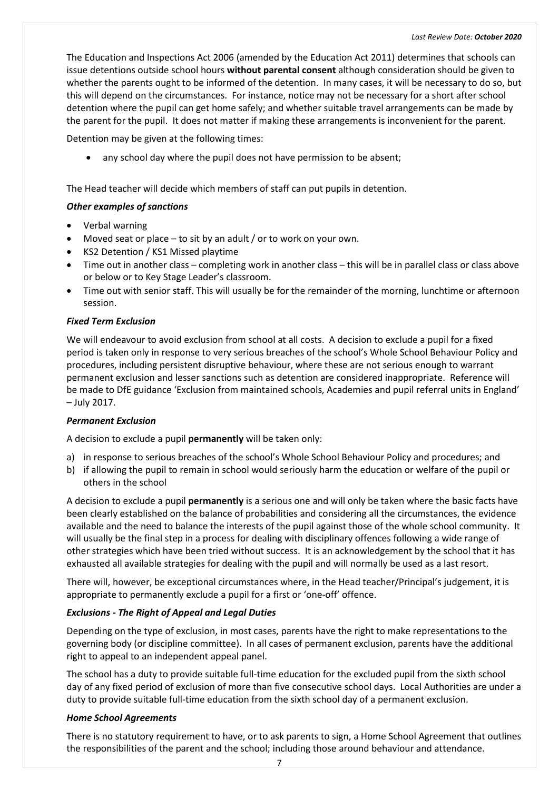#### *Last Review Date: October 2020*

The Education and Inspections Act 2006 (amended by the Education Act 2011) determines that schools can issue detentions outside school hours **without parental consent** although consideration should be given to whether the parents ought to be informed of the detention. In many cases, it will be necessary to do so, but this will depend on the circumstances. For instance, notice may not be necessary for a short after school detention where the pupil can get home safely; and whether suitable travel arrangements can be made by the parent for the pupil. It does not matter if making these arrangements is inconvenient for the parent.

Detention may be given at the following times:

• any school day where the pupil does not have permission to be absent;

The Head teacher will decide which members of staff can put pupils in detention.

#### <span id="page-14-0"></span>*Other examples of sanctions*

- Verbal warning
- Moved seat or place to sit by an adult / or to work on your own.
- KS2 Detention / KS1 Missed playtime
- Time out in another class completing work in another class this will be in parallel class or class above or below or to Key Stage Leader's classroom.
- Time out with senior staff. This will usually be for the remainder of the morning, lunchtime or afternoon session.

#### <span id="page-14-1"></span>*Fixed Term Exclusion*

We will endeavour to avoid exclusion from school at all costs. A decision to exclude a pupil for a fixed period is taken only in response to very serious breaches of the school's Whole School Behaviour Policy and procedures, including persistent disruptive behaviour, where these are not serious enough to warrant permanent exclusion and lesser sanctions such as detention are considered inappropriate. Reference will be made to DfE guidance 'Exclusion from maintained schools, Academies and pupil referral units in England' – July 2017.

#### <span id="page-14-2"></span>*Permanent Exclusion*

A decision to exclude a pupil **permanently** will be taken only:

- a) in response to serious breaches of the school's Whole School Behaviour Policy and procedures; and
- b) if allowing the pupil to remain in school would seriously harm the education or welfare of the pupil or others in the school

A decision to exclude a pupil **permanently** is a serious one and will only be taken where the basic facts have been clearly established on the balance of probabilities and considering all the circumstances, the evidence available and the need to balance the interests of the pupil against those of the whole school community. It will usually be the final step in a process for dealing with disciplinary offences following a wide range of other strategies which have been tried without success. It is an acknowledgement by the school that it has exhausted all available strategies for dealing with the pupil and will normally be used as a last resort.

There will, however, be exceptional circumstances where, in the Head teacher/Principal's judgement, it is appropriate to permanently exclude a pupil for a first or 'one-off' offence.

#### <span id="page-14-3"></span>*Exclusions - The Right of Appeal and Legal Duties*

Depending on the type of exclusion, in most cases, parents have the right to make representations to the governing body (or discipline committee). In all cases of permanent exclusion, parents have the additional right to appeal to an independent appeal panel.

The school has a duty to provide suitable full-time education for the excluded pupil from the sixth school day of any fixed period of exclusion of more than five consecutive school days. Local Authorities are under a duty to provide suitable full-time education from the sixth school day of a permanent exclusion.

#### <span id="page-14-4"></span>*Home School Agreements*

There is no statutory requirement to have, or to ask parents to sign, a Home School Agreement that outlines the responsibilities of the parent and the school; including those around behaviour and attendance.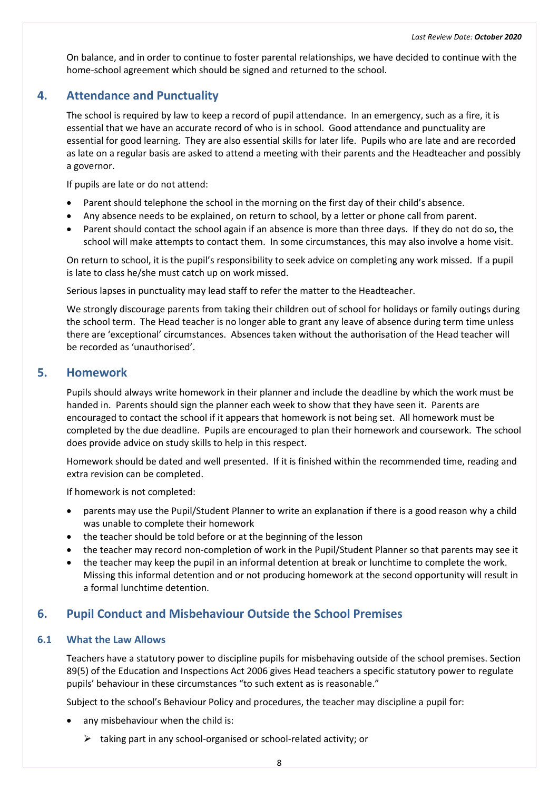On balance, and in order to continue to foster parental relationships, we have decided to continue with the home-school agreement which should be signed and returned to the school.

# <span id="page-15-0"></span>**4. Attendance and Punctuality**

The school is required by law to keep a record of pupil attendance. In an emergency, such as a fire, it is essential that we have an accurate record of who is in school. Good attendance and punctuality are essential for good learning. They are also essential skills for later life. Pupils who are late and are recorded as late on a regular basis are asked to attend a meeting with their parents and the Headteacher and possibly a governor.

If pupils are late or do not attend:

- Parent should telephone the school in the morning on the first day of their child's absence.
- Any absence needs to be explained, on return to school, by a letter or phone call from parent.
- Parent should contact the school again if an absence is more than three days. If they do not do so, the school will make attempts to contact them. In some circumstances, this may also involve a home visit.

On return to school, it is the pupil's responsibility to seek advice on completing any work missed. If a pupil is late to class he/she must catch up on work missed.

Serious lapses in punctuality may lead staff to refer the matter to the Headteacher.

We strongly discourage parents from taking their children out of school for holidays or family outings during the school term. The Head teacher is no longer able to grant any leave of absence during term time unless there are 'exceptional' circumstances. Absences taken without the authorisation of the Head teacher will be recorded as 'unauthorised'.

# <span id="page-15-1"></span>**5. Homework**

Pupils should always write homework in their planner and include the deadline by which the work must be handed in. Parents should sign the planner each week to show that they have seen it. Parents are encouraged to contact the school if it appears that homework is not being set. All homework must be completed by the due deadline. Pupils are encouraged to plan their homework and coursework. The school does provide advice on study skills to help in this respect.

Homework should be dated and well presented. If it is finished within the recommended time, reading and extra revision can be completed.

If homework is not completed:

- parents may use the Pupil/Student Planner to write an explanation if there is a good reason why a child was unable to complete their homework
- the teacher should be told before or at the beginning of the lesson
- the teacher may record non-completion of work in the Pupil/Student Planner so that parents may see it
- <span id="page-15-2"></span>• the teacher may keep the pupil in an informal detention at break or lunchtime to complete the work. Missing this informal detention and or not producing homework at the second opportunity will result in a formal lunchtime detention.

# **6. Pupil Conduct and Misbehaviour Outside the School Premises**

#### <span id="page-15-3"></span>**6.1 What the Law Allows**

Teachers have a statutory power to discipline pupils for misbehaving outside of the school premises. Section 89(5) of the Education and Inspections Act 2006 gives Head teachers a specific statutory power to regulate pupils' behaviour in these circumstances "to such extent as is reasonable."

Subject to the school's Behaviour Policy and procedures, the teacher may discipline a pupil for:

- any misbehaviour when the child is:
	- $\triangleright$  taking part in any school-organised or school-related activity; or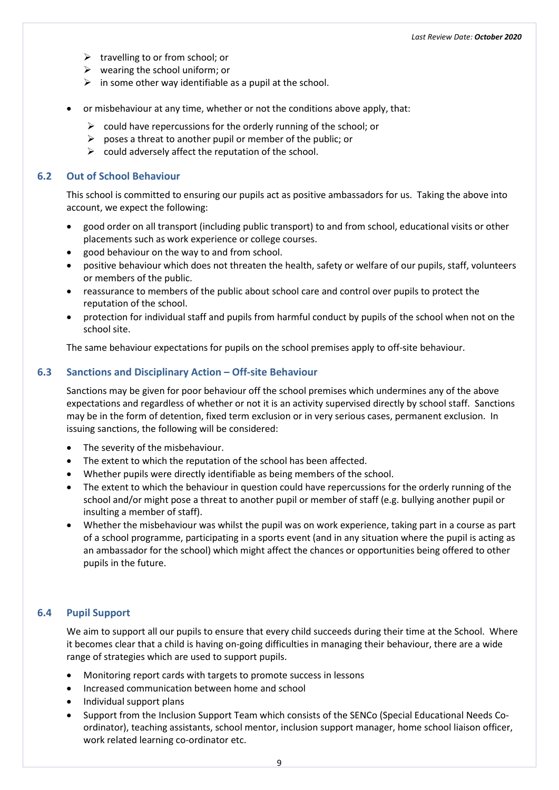- $\triangleright$  travelling to or from school; or
- $\triangleright$  wearing the school uniform; or
- $\triangleright$  in some other way identifiable as a pupil at the school.
- or misbehaviour at any time, whether or not the conditions above apply, that:
	- $\triangleright$  could have repercussions for the orderly running of the school; or
	- $\triangleright$  poses a threat to another pupil or member of the public; or
	- $\triangleright$  could adversely affect the reputation of the school.

#### <span id="page-16-0"></span>**6.2 Out of School Behaviour**

This school is committed to ensuring our pupils act as positive ambassadors for us. Taking the above into account, we expect the following:

- good order on all transport (including public transport) to and from school, educational visits or other placements such as work experience or college courses.
- good behaviour on the way to and from school.
- positive behaviour which does not threaten the health, safety or welfare of our pupils, staff, volunteers or members of the public.
- reassurance to members of the public about school care and control over pupils to protect the reputation of the school.
- protection for individual staff and pupils from harmful conduct by pupils of the school when not on the school site.

The same behaviour expectations for pupils on the school premises apply to off-site behaviour.

#### <span id="page-16-1"></span>**6.3 Sanctions and Disciplinary Action – Off-site Behaviour**

Sanctions may be given for poor behaviour off the school premises which undermines any of the above expectations and regardless of whether or not it is an activity supervised directly by school staff. Sanctions may be in the form of detention, fixed term exclusion or in very serious cases, permanent exclusion. In issuing sanctions, the following will be considered:

- The severity of the misbehaviour.
- The extent to which the reputation of the school has been affected.
- Whether pupils were directly identifiable as being members of the school.
- The extent to which the behaviour in question could have repercussions for the orderly running of the school and/or might pose a threat to another pupil or member of staff (e.g. bullying another pupil or insulting a member of staff).
- Whether the misbehaviour was whilst the pupil was on work experience, taking part in a course as part of a school programme, participating in a sports event (and in any situation where the pupil is acting as an ambassador for the school) which might affect the chances or opportunities being offered to other pupils in the future.

#### <span id="page-16-2"></span>**6.4 Pupil Support**

We aim to support all our pupils to ensure that every child succeeds during their time at the School. Where it becomes clear that a child is having on-going difficulties in managing their behaviour, there are a wide range of strategies which are used to support pupils.

- Monitoring report cards with targets to promote success in lessons
- Increased communication between home and school
- Individual support plans
- Support from the Inclusion Support Team which consists of the SENCo (Special Educational Needs Coordinator), teaching assistants, school mentor, inclusion support manager, home school liaison officer, work related learning co-ordinator etc.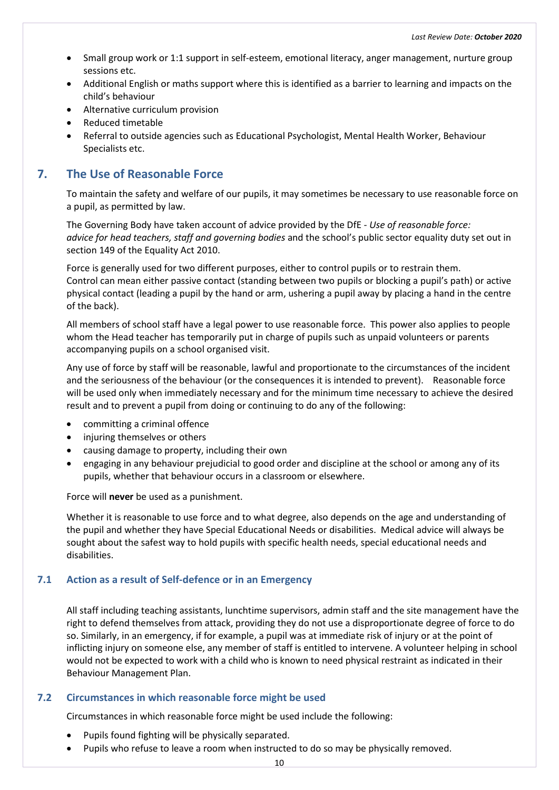- Small group work or 1:1 support in self-esteem, emotional literacy, anger management, nurture group sessions etc.
- Additional English or maths support where this is identified as a barrier to learning and impacts on the child's behaviour
- Alternative curriculum provision
- Reduced timetable
- Referral to outside agencies such as Educational Psychologist, Mental Health Worker, Behaviour Specialists etc.

# <span id="page-17-0"></span>**7. The Use of Reasonable Force**

To maintain the safety and welfare of our pupils, it may sometimes be necessary to use reasonable force on a pupil, as permitted by law.

The Governing Body have taken account of advice provided by the DfE - *Use of reasonable force: advice for head teachers, staff and governing bodies* and the school's public sector equality duty set out in section 149 of the Equality Act 2010.

Force is generally used for two different purposes, either to control pupils or to restrain them. Control can mean either passive contact (standing between two pupils or blocking a pupil's path) or active physical contact (leading a pupil by the hand or arm, ushering a pupil away by placing a hand in the centre of the back).

All members of school staff have a legal power to use reasonable force. This power also applies to people whom the Head teacher has temporarily put in charge of pupils such as unpaid volunteers or parents accompanying pupils on a school organised visit.

Any use of force by staff will be reasonable, lawful and proportionate to the circumstances of the incident and the seriousness of the behaviour (or the consequences it is intended to prevent). Reasonable force will be used only when immediately necessary and for the minimum time necessary to achieve the desired result and to prevent a pupil from doing or continuing to do any of the following:

- committing a criminal offence
- injuring themselves or others
- causing damage to property, including their own
- engaging in any behaviour prejudicial to good order and discipline at the school or among any of its pupils, whether that behaviour occurs in a classroom or elsewhere.

Force will **never** be used as a punishment.

Whether it is reasonable to use force and to what degree, also depends on the age and understanding of the pupil and whether they have Special Educational Needs or disabilities. Medical advice will always be sought about the safest way to hold pupils with specific health needs, special educational needs and disabilities.

#### <span id="page-17-1"></span>**7.1 Action as a result of Self-defence or in an Emergency**

All staff including teaching assistants, lunchtime supervisors, admin staff and the site management have the right to defend themselves from attack, providing they do not use a disproportionate degree of force to do so. Similarly, in an emergency, if for example, a pupil was at immediate risk of injury or at the point of inflicting injury on someone else, any member of staff is entitled to intervene. A volunteer helping in school would not be expected to work with a child who is known to need physical restraint as indicated in their Behaviour Management Plan.

#### <span id="page-17-2"></span>**7.2 Circumstances in which reasonable force might be used**

Circumstances in which reasonable force might be used include the following:

- Pupils found fighting will be physically separated.
- Pupils who refuse to leave a room when instructed to do so may be physically removed.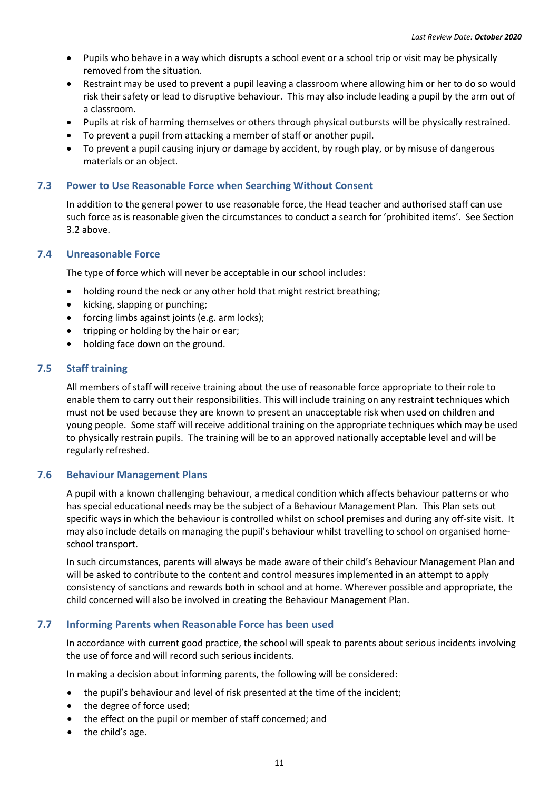- Pupils who behave in a way which disrupts a school event or a school trip or visit may be physically removed from the situation.
- Restraint may be used to prevent a pupil leaving a classroom where allowing him or her to do so would risk their safety or lead to disruptive behaviour. This may also include leading a pupil by the arm out of a classroom.
- Pupils at risk of harming themselves or others through physical outbursts will be physically restrained.
- To prevent a pupil from attacking a member of staff or another pupil.
- To prevent a pupil causing injury or damage by accident, by rough play, or by misuse of dangerous materials or an object.

#### <span id="page-18-0"></span>**7.3 Power to Use Reasonable Force when Searching Without Consent**

In addition to the general power to use reasonable force, the Head teacher and authorised staff can use such force as is reasonable given the circumstances to conduct a search for 'prohibited items'. See Section 3.2 above.

#### <span id="page-18-1"></span>**7.4 Unreasonable Force**

The type of force which will never be acceptable in our school includes:

- holding round the neck or any other hold that might restrict breathing;
- kicking, slapping or punching;
- forcing limbs against joints (e.g. arm locks);
- tripping or holding by the hair or ear;
- holding face down on the ground.

#### <span id="page-18-2"></span>**7.5 Staff training**

All members of staff will receive training about the use of reasonable force appropriate to their role to enable them to carry out their responsibilities. This will include training on any restraint techniques which must not be used because they are known to present an unacceptable risk when used on children and young people. Some staff will receive additional training on the appropriate techniques which may be used to physically restrain pupils. The training will be to an approved nationally acceptable level and will be regularly refreshed.

#### <span id="page-18-3"></span>**7.6 Behaviour Management Plans**

A pupil with a known challenging behaviour, a medical condition which affects behaviour patterns or who has special educational needs may be the subject of a Behaviour Management Plan. This Plan sets out specific ways in which the behaviour is controlled whilst on school premises and during any off-site visit. It may also include details on managing the pupil's behaviour whilst travelling to school on organised homeschool transport.

In such circumstances, parents will always be made aware of their child's Behaviour Management Plan and will be asked to contribute to the content and control measures implemented in an attempt to apply consistency of sanctions and rewards both in school and at home. Wherever possible and appropriate, the child concerned will also be involved in creating the Behaviour Management Plan.

#### <span id="page-18-4"></span>**7.7 Informing Parents when Reasonable Force has been used**

In accordance with current good practice, the school will speak to parents about serious incidents involving the use of force and will record such serious incidents.

In making a decision about informing parents, the following will be considered:

- the pupil's behaviour and level of risk presented at the time of the incident;
- the degree of force used:
- the effect on the pupil or member of staff concerned; and
- the child's age.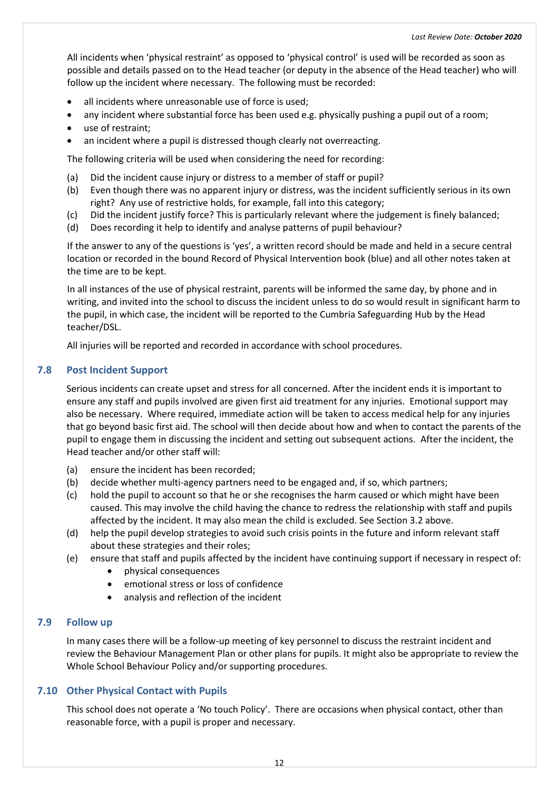All incidents when 'physical restraint' as opposed to 'physical control' is used will be recorded as soon as possible and details passed on to the Head teacher (or deputy in the absence of the Head teacher) who will follow up the incident where necessary. The following must be recorded:

- all incidents where unreasonable use of force is used;
- any incident where substantial force has been used e.g. physically pushing a pupil out of a room;
- use of restraint;
- an incident where a pupil is distressed though clearly not overreacting.

The following criteria will be used when considering the need for recording:

- (a) Did the incident cause injury or distress to a member of staff or pupil?
- (b) Even though there was no apparent injury or distress, was the incident sufficiently serious in its own right? Any use of restrictive holds, for example, fall into this category;
- (c) Did the incident justify force? This is particularly relevant where the judgement is finely balanced;
- (d) Does recording it help to identify and analyse patterns of pupil behaviour?

If the answer to any of the questions is 'yes', a written record should be made and held in a secure central location or recorded in the bound Record of Physical Intervention book (blue) and all other notes taken at the time are to be kept.

In all instances of the use of physical restraint, parents will be informed the same day, by phone and in writing, and invited into the school to discuss the incident unless to do so would result in significant harm to the pupil, in which case, the incident will be reported to the Cumbria Safeguarding Hub by the Head teacher/DSL.

All injuries will be reported and recorded in accordance with school procedures.

#### <span id="page-19-0"></span>**7.8 Post Incident Support**

Serious incidents can create upset and stress for all concerned. After the incident ends it is important to ensure any staff and pupils involved are given first aid treatment for any injuries. Emotional support may also be necessary. Where required, immediate action will be taken to access medical help for any injuries that go beyond basic first aid. The school will then decide about how and when to contact the parents of the pupil to engage them in discussing the incident and setting out subsequent actions. After the incident, the Head teacher and/or other staff will:

- (a) ensure the incident has been recorded;
- (b) decide whether multi-agency partners need to be engaged and, if so, which partners;
- (c) hold the pupil to account so that he or she recognises the harm caused or which might have been caused. This may involve the child having the chance to redress the relationship with staff and pupils affected by the incident. It may also mean the child is excluded. See Section 3.2 above.
- (d) help the pupil develop strategies to avoid such crisis points in the future and inform relevant staff about these strategies and their roles;
- (e) ensure that staff and pupils affected by the incident have continuing support if necessary in respect of:
	- physical consequences
	- emotional stress or loss of confidence
	- analysis and reflection of the incident

#### <span id="page-19-1"></span>**7.9 Follow up**

In many cases there will be a follow-up meeting of key personnel to discuss the restraint incident and review the Behaviour Management Plan or other plans for pupils. It might also be appropriate to review the Whole School Behaviour Policy and/or supporting procedures.

#### <span id="page-19-2"></span>**7.10 Other Physical Contact with Pupils**

This school does not operate a 'No touch Policy'. There are occasions when physical contact, other than reasonable force, with a pupil is proper and necessary.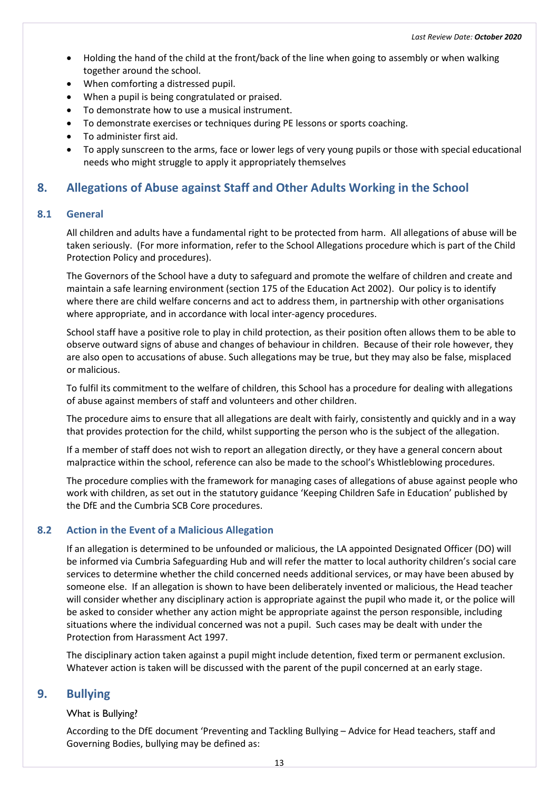- Holding the hand of the child at the front/back of the line when going to assembly or when walking together around the school.
- When comforting a distressed pupil.
- When a pupil is being congratulated or praised.
- To demonstrate how to use a musical instrument.
- To demonstrate exercises or techniques during PE lessons or sports coaching.
- To administer first aid.
- To apply sunscreen to the arms, face or lower legs of very young pupils or those with special educational needs who might struggle to apply it appropriately themselves

# <span id="page-20-0"></span>**8. Allegations of Abuse against Staff and Other Adults Working in the School**

#### <span id="page-20-1"></span>**8.1 General**

All children and adults have a fundamental right to be protected from harm. All allegations of abuse will be taken seriously. (For more information, refer to the School Allegations procedure which is part of the Child Protection Policy and procedures).

The Governors of the School have a duty to safeguard and promote the welfare of children and create and maintain a safe learning environment (section 175 of the Education Act 2002). Our policy is to identify where there are child welfare concerns and act to address them, in partnership with other organisations where appropriate, and in accordance with local inter-agency procedures.

School staff have a positive role to play in child protection, as their position often allows them to be able to observe outward signs of abuse and changes of behaviour in children. Because of their role however, they are also open to accusations of abuse. Such allegations may be true, but they may also be false, misplaced or malicious.

To fulfil its commitment to the welfare of children, this School has a procedure for dealing with allegations of abuse against members of staff and volunteers and other children.

The procedure aims to ensure that all allegations are dealt with fairly, consistently and quickly and in a way that provides protection for the child, whilst supporting the person who is the subject of the allegation.

If a member of staff does not wish to report an allegation directly, or they have a general concern about malpractice within the school, reference can also be made to the school's Whistleblowing procedures.

The procedure complies with the framework for managing cases of allegations of abuse against people who work with children, as set out in the statutory guidance 'Keeping Children Safe in Education' published by the DfE and the Cumbria SCB Core procedures.

#### <span id="page-20-2"></span>**8.2 Action in the Event of a Malicious Allegation**

If an allegation is determined to be unfounded or malicious, the LA appointed Designated Officer (DO) will be informed via Cumbria Safeguarding Hub and will refer the matter to local authority children's social care services to determine whether the child concerned needs additional services, or may have been abused by someone else. If an allegation is shown to have been deliberately invented or malicious, the Head teacher will consider whether any disciplinary action is appropriate against the pupil who made it, or the police will be asked to consider whether any action might be appropriate against the person responsible, including situations where the individual concerned was not a pupil. Such cases may be dealt with under the Protection from Harassment Act 1997.

The disciplinary action taken against a pupil might include detention, fixed term or permanent exclusion. Whatever action is taken will be discussed with the parent of the pupil concerned at an early stage.

# <span id="page-20-4"></span><span id="page-20-3"></span>**9. Bullying**

#### What is Bullying?

According to the DfE document 'Preventing and Tackling Bullying – Advice for Head teachers, staff and Governing Bodies, bullying may be defined as: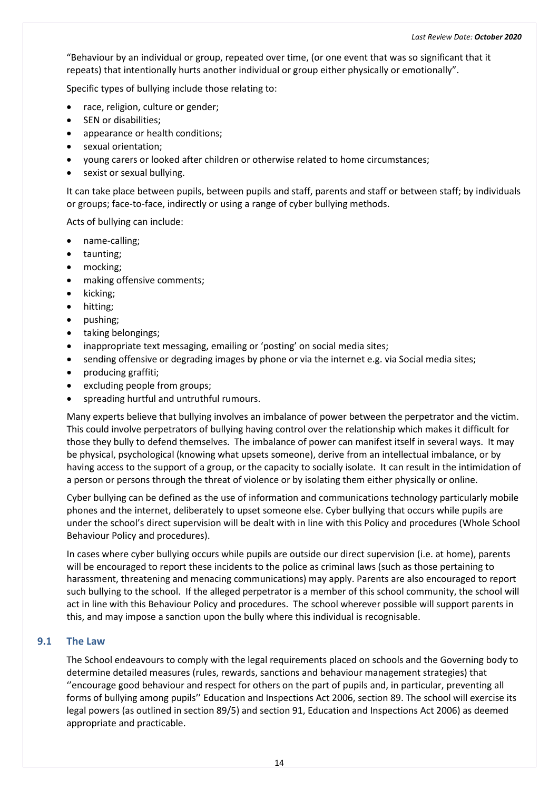"Behaviour by an individual or group, repeated over time, (or one event that was so significant that it repeats) that intentionally hurts another individual or group either physically or emotionally".

Specific types of bullying include those relating to:

- race, religion, culture or gender;
- SEN or disabilities;
- appearance or health conditions;
- sexual orientation;
- young carers or looked after children or otherwise related to home circumstances;
- sexist or sexual bullying.

It can take place between pupils, between pupils and staff, parents and staff or between staff; by individuals or groups; face-to-face, indirectly or using a range of cyber bullying methods.

Acts of bullying can include:

- name-calling;
- taunting;
- mocking;
- making offensive comments;
- kicking;
- hitting;
- pushing;
- taking belongings;
- inappropriate text messaging, emailing or 'posting' on social media sites;
- sending offensive or degrading images by phone or via the internet e.g. via Social media sites;
- producing graffiti;
- excluding people from groups;
- spreading hurtful and untruthful rumours.

Many experts believe that bullying involves an imbalance of power between the perpetrator and the victim. This could involve perpetrators of bullying having control over the relationship which makes it difficult for those they bully to defend themselves. The imbalance of power can manifest itself in several ways. It may be physical, psychological (knowing what upsets someone), derive from an intellectual imbalance, or by having access to the support of a group, or the capacity to socially isolate. It can result in the intimidation of a person or persons through the threat of violence or by isolating them either physically or online.

Cyber bullying can be defined as the use of information and communications technology particularly mobile phones and the internet, deliberately to upset someone else. Cyber bullying that occurs while pupils are under the school's direct supervision will be dealt with in line with this Policy and procedures (Whole School Behaviour Policy and procedures).

In cases where cyber bullying occurs while pupils are outside our direct supervision (i.e. at home), parents will be encouraged to report these incidents to the police as criminal laws (such as those pertaining to harassment, threatening and menacing communications) may apply. Parents are also encouraged to report such bullying to the school. If the alleged perpetrator is a member of this school community, the school will act in line with this Behaviour Policy and procedures. The school wherever possible will support parents in this, and may impose a sanction upon the bully where this individual is recognisable.

#### <span id="page-21-0"></span>**9.1 The Law**

The School endeavours to comply with the legal requirements placed on schools and the Governing body to determine detailed measures (rules, rewards, sanctions and behaviour management strategies) that ''encourage good behaviour and respect for others on the part of pupils and, in particular, preventing all forms of bullying among pupils'' Education and Inspections Act 2006, section 89. The school will exercise its legal powers (as outlined in section 89/5) and section 91, Education and Inspections Act 2006) as deemed appropriate and practicable.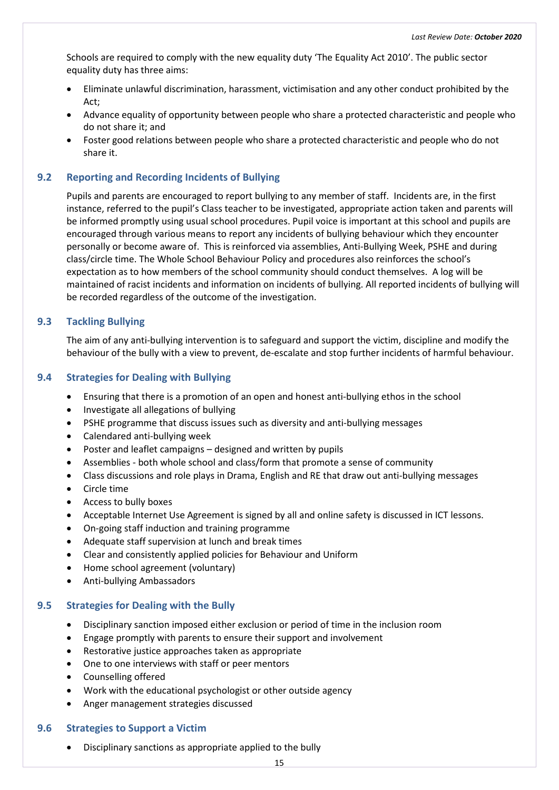Schools are required to comply with the new equality duty 'The Equality Act 2010'. The public sector equality duty has three aims:

- Eliminate unlawful discrimination, harassment, victimisation and any other conduct prohibited by the Act;
- Advance equality of opportunity between people who share a protected characteristic and people who do not share it; and
- Foster good relations between people who share a protected characteristic and people who do not share it.

#### <span id="page-22-0"></span>**9.2 Reporting and Recording Incidents of Bullying**

Pupils and parents are encouraged to report bullying to any member of staff. Incidents are, in the first instance, referred to the pupil's Class teacher to be investigated, appropriate action taken and parents will be informed promptly using usual school procedures. Pupil voice is important at this school and pupils are encouraged through various means to report any incidents of bullying behaviour which they encounter personally or become aware of. This is reinforced via assemblies, Anti-Bullying Week, PSHE and during class/circle time. The Whole School Behaviour Policy and procedures also reinforces the school's expectation as to how members of the school community should conduct themselves. A log will be maintained of racist incidents and information on incidents of bullying. All reported incidents of bullying will be recorded regardless of the outcome of the investigation.

#### <span id="page-22-1"></span>**9.3 Tackling Bullying**

The aim of any anti-bullying intervention is to safeguard and support the victim, discipline and modify the behaviour of the bully with a view to prevent, de-escalate and stop further incidents of harmful behaviour.

#### <span id="page-22-2"></span>**9.4 Strategies for Dealing with Bullying**

- Ensuring that there is a promotion of an open and honest anti-bullying ethos in the school
- Investigate all allegations of bullying
- PSHE programme that discuss issues such as diversity and anti-bullying messages
- Calendared anti-bullying week
- Poster and leaflet campaigns designed and written by pupils
- Assemblies both whole school and class/form that promote a sense of community
- Class discussions and role plays in Drama, English and RE that draw out anti-bullying messages
- Circle time
- Access to bully boxes
- Acceptable Internet Use Agreement is signed by all and online safety is discussed in ICT lessons.
- On-going staff induction and training programme
- Adequate staff supervision at lunch and break times
- Clear and consistently applied policies for Behaviour and Uniform
- Home school agreement (voluntary)
- Anti-bullying Ambassadors

#### <span id="page-22-3"></span>**9.5 Strategies for Dealing with the Bully**

- Disciplinary sanction imposed either exclusion or period of time in the inclusion room
- Engage promptly with parents to ensure their support and involvement
- Restorative justice approaches taken as appropriate
- One to one interviews with staff or peer mentors
- Counselling offered
- Work with the educational psychologist or other outside agency
- Anger management strategies discussed

#### <span id="page-22-4"></span>**9.6 Strategies to Support a Victim**

• Disciplinary sanctions as appropriate applied to the bully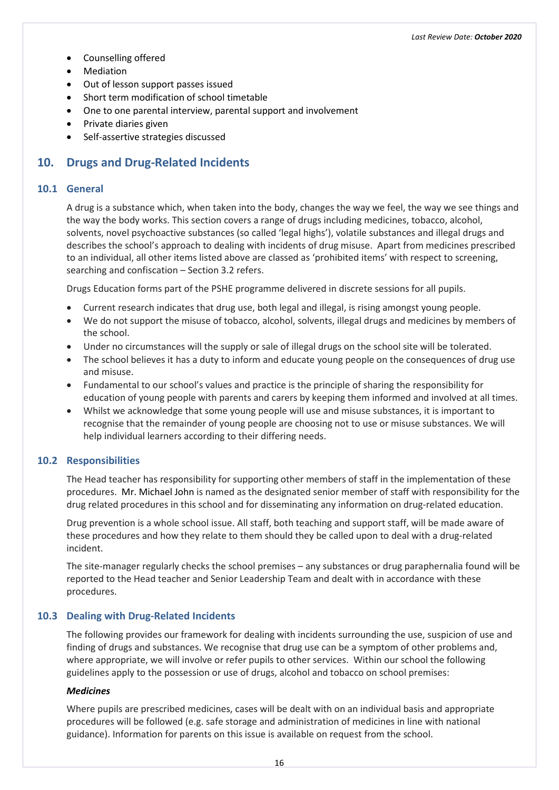- Counselling offered
- Mediation
- Out of lesson support passes issued
- Short term modification of school timetable
- One to one parental interview, parental support and involvement
- Private diaries given
- Self-assertive strategies discussed

# <span id="page-23-0"></span>**10. Drugs and Drug-Related Incidents**

#### <span id="page-23-1"></span>**10.1 General**

A drug is a substance which, when taken into the body, changes the way we feel, the way we see things and the way the body works. This section covers a range of drugs including medicines, tobacco, alcohol, solvents, novel psychoactive substances (so called 'legal highs'), volatile substances and illegal drugs and describes the school's approach to dealing with incidents of drug misuse. Apart from medicines prescribed to an individual, all other items listed above are classed as 'prohibited items' with respect to screening, searching and confiscation – Section 3.2 refers.

Drugs Education forms part of the PSHE programme delivered in discrete sessions for all pupils.

- Current research indicates that drug use, both legal and illegal, is rising amongst young people.
- We do not support the misuse of tobacco, alcohol, solvents, illegal drugs and medicines by members of the school.
- Under no circumstances will the supply or sale of illegal drugs on the school site will be tolerated.
- The school believes it has a duty to inform and educate young people on the consequences of drug use and misuse.
- Fundamental to our school's values and practice is the principle of sharing the responsibility for education of young people with parents and carers by keeping them informed and involved at all times.
- Whilst we acknowledge that some young people will use and misuse substances, it is important to recognise that the remainder of young people are choosing not to use or misuse substances. We will help individual learners according to their differing needs.

#### <span id="page-23-2"></span>**10.2 Responsibilities**

The Head teacher has responsibility for supporting other members of staff in the implementation of these procedures. Mr. Michael John is named as the designated senior member of staff with responsibility for the drug related procedures in this school and for disseminating any information on drug-related education.

Drug prevention is a whole school issue. All staff, both teaching and support staff, will be made aware of these procedures and how they relate to them should they be called upon to deal with a drug-related incident.

The site-manager regularly checks the school premises – any substances or drug paraphernalia found will be reported to the Head teacher and Senior Leadership Team and dealt with in accordance with these procedures.

#### <span id="page-23-3"></span>**10.3 Dealing with Drug-Related Incidents**

The following provides our framework for dealing with incidents surrounding the use, suspicion of use and finding of drugs and substances. We recognise that drug use can be a symptom of other problems and, where appropriate, we will involve or refer pupils to other services. Within our school the following guidelines apply to the possession or use of drugs, alcohol and tobacco on school premises:

#### <span id="page-23-4"></span>*Medicines*

Where pupils are prescribed medicines, cases will be dealt with on an individual basis and appropriate procedures will be followed (e.g. safe storage and administration of medicines in line with national guidance). Information for parents on this issue is available on request from the school.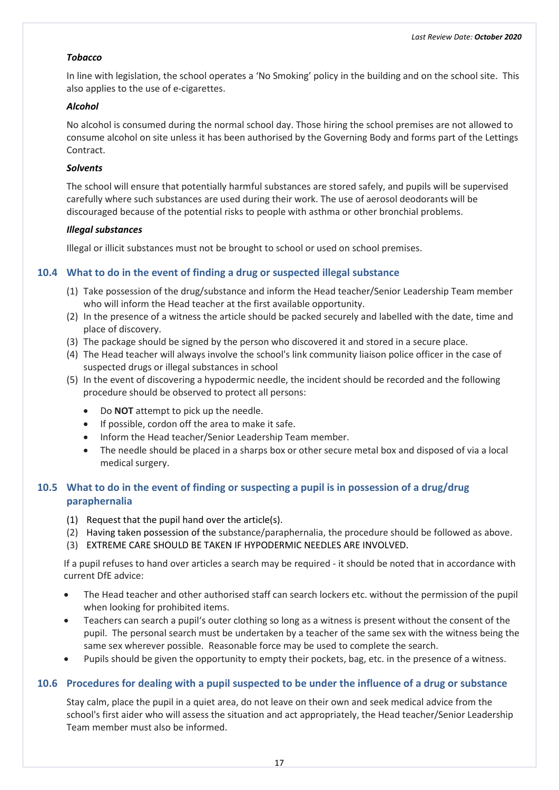#### <span id="page-24-0"></span>*Tobacco*

In line with legislation, the school operates a 'No Smoking' policy in the building and on the school site. This also applies to the use of e-cigarettes.

#### <span id="page-24-1"></span>*Alcohol*

No alcohol is consumed during the normal school day. Those hiring the school premises are not allowed to consume alcohol on site unless it has been authorised by the Governing Body and forms part of the Lettings Contract.

#### <span id="page-24-2"></span>*Solvents*

The school will ensure that potentially harmful substances are stored safely, and pupils will be supervised carefully where such substances are used during their work. The use of aerosol deodorants will be discouraged because of the potential risks to people with asthma or other bronchial problems.

#### <span id="page-24-3"></span>*Illegal substances*

Illegal or illicit substances must not be brought to school or used on school premises.

# <span id="page-24-4"></span>**10.4 What to do in the event of finding a drug or suspected illegal substance**

- (1) Take possession of the drug/substance and inform the Head teacher/Senior Leadership Team member who will inform the Head teacher at the first available opportunity.
- (2) In the presence of a witness the article should be packed securely and labelled with the date, time and place of discovery.
- (3) The package should be signed by the person who discovered it and stored in a secure place.
- (4) The Head teacher will always involve the school's link community liaison police officer in the case of suspected drugs or illegal substances in school
- (5) In the event of discovering a hypodermic needle, the incident should be recorded and the following procedure should be observed to protect all persons:
	- Do **NOT** attempt to pick up the needle.
	- If possible, cordon off the area to make it safe.
	- Inform the Head teacher/Senior Leadership Team member.
	- The needle should be placed in a sharps box or other secure metal box and disposed of via a local medical surgery.

# <span id="page-24-5"></span>**10.5 What to do in the event of finding or suspecting a pupil is in possession of a drug/drug paraphernalia**

- (1) Request that the pupil hand over the article(s).
- (2) Having taken possession of the substance/paraphernalia, the procedure should be followed as above.
- (3) EXTREME CARE SHOULD BE TAKEN IF HYPODERMIC NEEDLES ARE INVOLVED.

If a pupil refuses to hand over articles a search may be required - it should be noted that in accordance with current DfE advice:

- The Head teacher and other authorised staff can search lockers etc. without the permission of the pupil when looking for prohibited items.
- Teachers can search a pupil's outer clothing so long as a witness is present without the consent of the pupil. The personal search must be undertaken by a teacher of the same sex with the witness being the same sex wherever possible. Reasonable force may be used to complete the search.
- Pupils should be given the opportunity to empty their pockets, bag, etc. in the presence of a witness.

#### <span id="page-24-6"></span>**10.6 Procedures for dealing with a pupil suspected to be under the influence of a drug or substance**

Stay calm, place the pupil in a quiet area, do not leave on their own and seek medical advice from the school's first aider who will assess the situation and act appropriately, the Head teacher/Senior Leadership Team member must also be informed.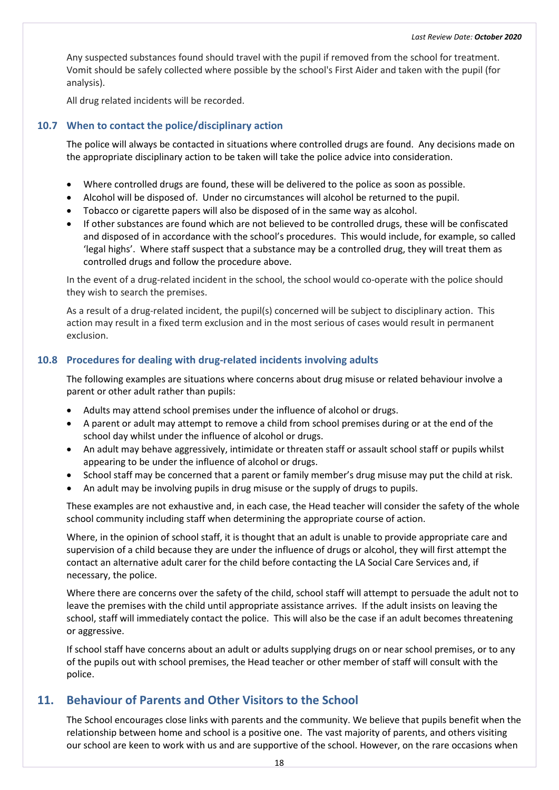Any suspected substances found should travel with the pupil if removed from the school for treatment. Vomit should be safely collected where possible by the school's First Aider and taken with the pupil (for analysis).

All drug related incidents will be recorded.

#### <span id="page-25-0"></span>**10.7 When to contact the police/disciplinary action**

The police will always be contacted in situations where controlled drugs are found. Any decisions made on the appropriate disciplinary action to be taken will take the police advice into consideration.

- Where controlled drugs are found, these will be delivered to the police as soon as possible.
- Alcohol will be disposed of. Under no circumstances will alcohol be returned to the pupil.
- Tobacco or cigarette papers will also be disposed of in the same way as alcohol.
- If other substances are found which are not believed to be controlled drugs, these will be confiscated and disposed of in accordance with the school's procedures. This would include, for example, so called 'legal highs'. Where staff suspect that a substance may be a controlled drug, they will treat them as controlled drugs and follow the procedure above.

In the event of a drug-related incident in the school, the school would co-operate with the police should they wish to search the premises.

As a result of a drug-related incident, the pupil(s) concerned will be subject to disciplinary action. This action may result in a fixed term exclusion and in the most serious of cases would result in permanent exclusion.

#### <span id="page-25-1"></span>**10.8 Procedures for dealing with drug-related incidents involving adults**

The following examples are situations where concerns about drug misuse or related behaviour involve a parent or other adult rather than pupils:

- Adults may attend school premises under the influence of alcohol or drugs.
- A parent or adult may attempt to remove a child from school premises during or at the end of the school day whilst under the influence of alcohol or drugs.
- An adult may behave aggressively, intimidate or threaten staff or assault school staff or pupils whilst appearing to be under the influence of alcohol or drugs.
- School staff may be concerned that a parent or family member's drug misuse may put the child at risk.
- An adult may be involving pupils in drug misuse or the supply of drugs to pupils.

These examples are not exhaustive and, in each case, the Head teacher will consider the safety of the whole school community including staff when determining the appropriate course of action.

Where, in the opinion of school staff, it is thought that an adult is unable to provide appropriate care and supervision of a child because they are under the influence of drugs or alcohol, they will first attempt the contact an alternative adult carer for the child before contacting the LA Social Care Services and, if necessary, the police.

Where there are concerns over the safety of the child, school staff will attempt to persuade the adult not to leave the premises with the child until appropriate assistance arrives. If the adult insists on leaving the school, staff will immediately contact the police. This will also be the case if an adult becomes threatening or aggressive.

If school staff have concerns about an adult or adults supplying drugs on or near school premises, or to any of the pupils out with school premises, the Head teacher or other member of staff will consult with the police.

# <span id="page-25-2"></span>**11. Behaviour of Parents and Other Visitors to the School**

The School encourages close links with parents and the community. We believe that pupils benefit when the relationship between home and school is a positive one. The vast majority of parents, and others visiting our school are keen to work with us and are supportive of the school. However, on the rare occasions when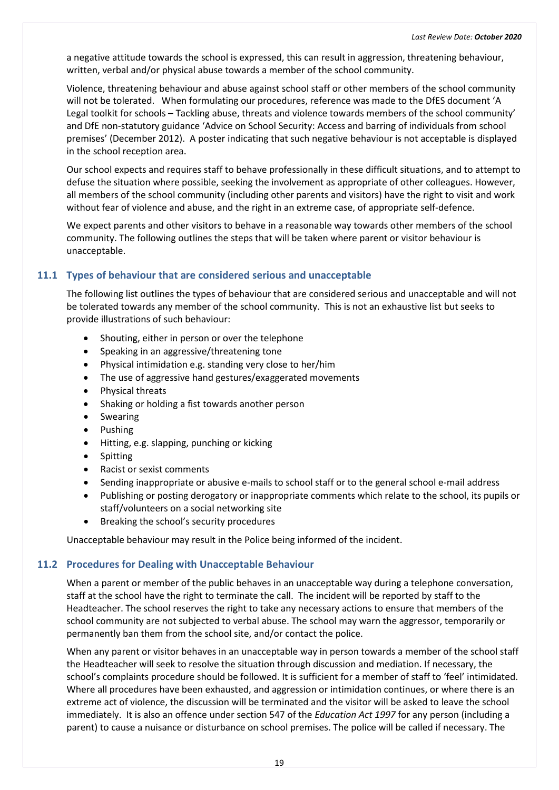a negative attitude towards the school is expressed, this can result in aggression, threatening behaviour, written, verbal and/or physical abuse towards a member of the school community.

Violence, threatening behaviour and abuse against school staff or other members of the school community will not be tolerated. When formulating our procedures, reference was made to the DfES document 'A Legal toolkit for schools – Tackling abuse, threats and violence towards members of the school community' and DfE non-statutory guidance 'Advice on School Security: Access and barring of individuals from school premises' (December 2012). A poster indicating that such negative behaviour is not acceptable is displayed in the school reception area.

Our school expects and requires staff to behave professionally in these difficult situations, and to attempt to defuse the situation where possible, seeking the involvement as appropriate of other colleagues. However, all members of the school community (including other parents and visitors) have the right to visit and work without fear of violence and abuse, and the right in an extreme case, of appropriate self-defence.

We expect parents and other visitors to behave in a reasonable way towards other members of the school community. The following outlines the steps that will be taken where parent or visitor behaviour is unacceptable.

# <span id="page-26-0"></span>**11.1 Types of behaviour that are considered serious and unacceptable**

The following list outlines the types of behaviour that are considered serious and unacceptable and will not be tolerated towards any member of the school community. This is not an exhaustive list but seeks to provide illustrations of such behaviour:

- Shouting, either in person or over the telephone
- Speaking in an aggressive/threatening tone
- Physical intimidation e.g. standing very close to her/him
- The use of aggressive hand gestures/exaggerated movements
- Physical threats
- Shaking or holding a fist towards another person
- Swearing
- Pushing
- Hitting, e.g. slapping, punching or kicking
- **Spitting**
- Racist or sexist comments
- Sending inappropriate or abusive e-mails to school staff or to the general school e-mail address
- Publishing or posting derogatory or inappropriate comments which relate to the school, its pupils or staff/volunteers on a social networking site
- Breaking the school's security procedures

Unacceptable behaviour may result in the Police being informed of the incident.

#### <span id="page-26-1"></span>**11.2 Procedures for Dealing with Unacceptable Behaviour**

When a parent or member of the public behaves in an unacceptable way during a telephone conversation, staff at the school have the right to terminate the call. The incident will be reported by staff to the Headteacher. The school reserves the right to take any necessary actions to ensure that members of the school community are not subjected to verbal abuse. The school may warn the aggressor, temporarily or permanently ban them from the school site, and/or contact the police.

When any parent or visitor behaves in an unacceptable way in person towards a member of the school staff the Headteacher will seek to resolve the situation through discussion and mediation. If necessary, the school's complaints procedure should be followed. It is sufficient for a member of staff to 'feel' intimidated. Where all procedures have been exhausted, and aggression or intimidation continues, or where there is an extreme act of violence, the discussion will be terminated and the visitor will be asked to leave the school immediately. It is also an offence under section 547 of the *Education Act 1997* for any person (including a parent) to cause a nuisance or disturbance on school premises. The police will be called if necessary. The